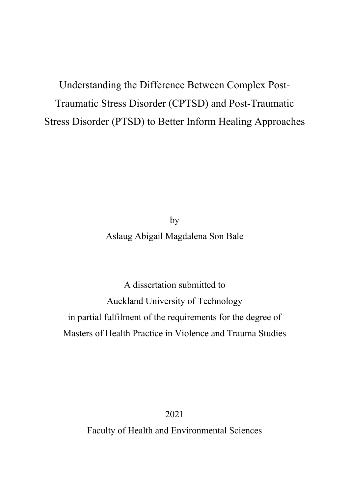Understanding the Difference Between Complex Post-Traumatic Stress Disorder (CPTSD) and Post-Traumatic Stress Disorder (PTSD) to Better Inform Healing Approaches

> by Aslaug Abigail Magdalena Son Bale

A dissertation submitted to Auckland University of Technology in partial fulfilment of the requirements for the degree of Masters of Health Practice in Violence and Trauma Studies

2021

Faculty of Health and Environmental Sciences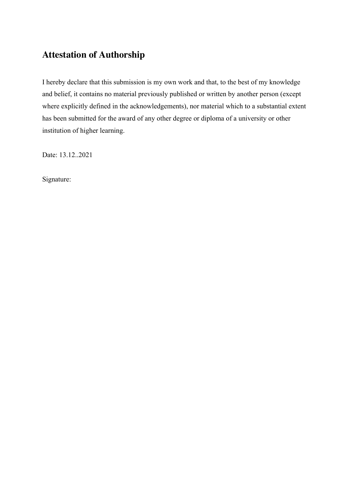# **Attestation of Authorship**

I hereby declare that this submission is my own work and that, to the best of my knowledge and belief, it contains no material previously published or written by another person (except where explicitly defined in the acknowledgements), nor material which to a substantial extent has been submitted for the award of any other degree or diploma of a university or other institution of higher learning.

Date: 13.12..2021

Signature: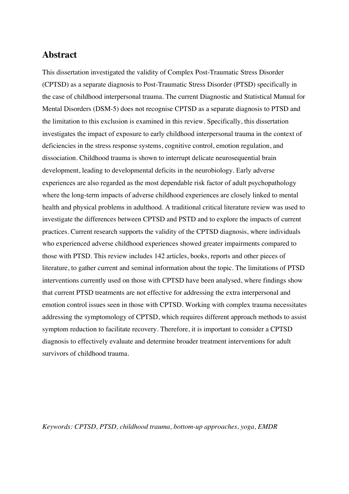# **Abstract**

This dissertation investigated the validity of Complex Post-Traumatic Stress Disorder (CPTSD) as a separate diagnosis to Post-Traumatic Stress Disorder (PTSD) specifically in the case of childhood interpersonal trauma. The current Diagnostic and Statistical Manual for Mental Disorders (DSM-5) does not recognise CPTSD as a separate diagnosis to PTSD and the limitation to this exclusion is examined in this review. Specifically, this dissertation investigates the impact of exposure to early childhood interpersonal trauma in the context of deficiencies in the stress response systems, cognitive control, emotion regulation, and dissociation. Childhood trauma is shown to interrupt delicate neurosequential brain development, leading to developmental deficits in the neurobiology. Early adverse experiences are also regarded as the most dependable risk factor of adult psychopathology where the long-term impacts of adverse childhood experiences are closely linked to mental health and physical problems in adulthood. A traditional critical literature review was used to investigate the differences between CPTSD and PSTD and to explore the impacts of current practices. Current research supports the validity of the CPTSD diagnosis, where individuals who experienced adverse childhood experiences showed greater impairments compared to those with PTSD. This review includes 142 articles, books, reports and other pieces of literature, to gather current and seminal information about the topic. The limitations of PTSD interventions currently used on those with CPTSD have been analysed, where findings show that current PTSD treatments are not effective for addressing the extra interpersonal and emotion control issues seen in those with CPTSD. Working with complex trauma necessitates addressing the symptomology of CPTSD, which requires different approach methods to assist symptom reduction to facilitate recovery. Therefore, it is important to consider a CPTSD diagnosis to effectively evaluate and determine broader treatment interventions for adult survivors of childhood trauma.

*Keywords: CPTSD, PTSD, childhood trauma, bottom-up approaches, yoga, EMDR*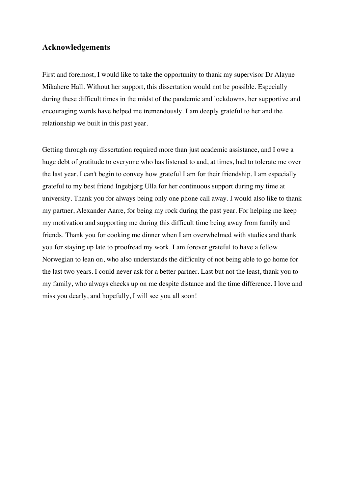## **Acknowledgements**

First and foremost, I would like to take the opportunity to thank my supervisor Dr Alayne Mikahere Hall. Without her support, this dissertation would not be possible. Especially during these difficult times in the midst of the pandemic and lockdowns, her supportive and encouraging words have helped me tremendously. I am deeply grateful to her and the relationship we built in this past year.

Getting through my dissertation required more than just academic assistance, and I owe a huge debt of gratitude to everyone who has listened to and, at times, had to tolerate me over the last year. I can't begin to convey how grateful I am for their friendship. I am especially grateful to my best friend Ingebjørg Ulla for her continuous support during my time at university. Thank you for always being only one phone call away. I would also like to thank my partner, Alexander Aarre, for being my rock during the past year. For helping me keep my motivation and supporting me during this difficult time being away from family and friends. Thank you for cooking me dinner when I am overwhelmed with studies and thank you for staying up late to proofread my work. I am forever grateful to have a fellow Norwegian to lean on, who also understands the difficulty of not being able to go home for the last two years. I could never ask for a better partner. Last but not the least, thank you to my family, who always checks up on me despite distance and the time difference. I love and miss you dearly, and hopefully, I will see you all soon!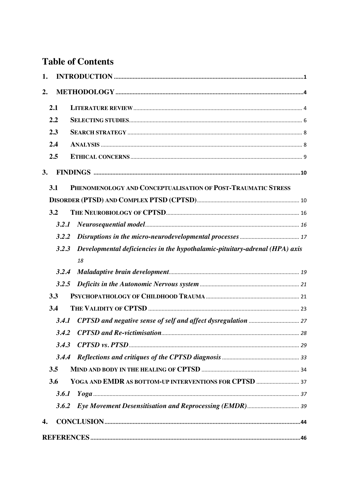# **Table of Contents**

| 1. |       |                                                                             |  |
|----|-------|-----------------------------------------------------------------------------|--|
| 2. |       |                                                                             |  |
|    | 2.1   |                                                                             |  |
|    | 2.2   |                                                                             |  |
|    | 2.3   |                                                                             |  |
|    | 2.4   |                                                                             |  |
|    | 2.5   |                                                                             |  |
| 3. |       |                                                                             |  |
|    | 3.1   | PHENOMENOLOGY AND CONCEPTUALISATION OF POST-TRAUMATIC STRESS                |  |
|    |       |                                                                             |  |
|    | 3.2   |                                                                             |  |
|    | 3.2.1 |                                                                             |  |
|    | 3.2.2 |                                                                             |  |
|    | 3.2.3 | Developmental deficiencies in the hypothalamic-pituitary-adrenal (HPA) axis |  |
|    |       | 18                                                                          |  |
|    | 3.2.4 |                                                                             |  |
|    | 3.2.5 |                                                                             |  |
|    | 3.3   |                                                                             |  |
|    | 3.4   |                                                                             |  |
|    | 3.4.1 |                                                                             |  |
|    |       |                                                                             |  |
|    | 3.4.3 |                                                                             |  |
|    |       |                                                                             |  |
|    | 3.5   |                                                                             |  |
|    | 3.6   |                                                                             |  |
|    | 3.6.1 |                                                                             |  |
|    | 3.6.2 |                                                                             |  |
| 4. |       |                                                                             |  |
|    |       |                                                                             |  |
|    |       |                                                                             |  |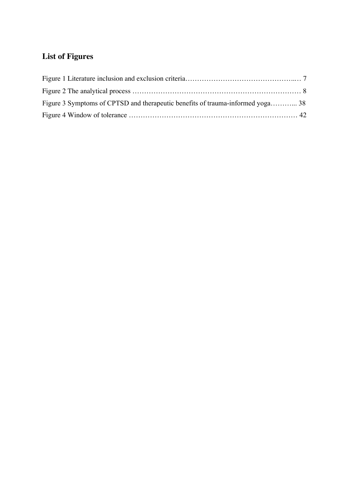# **List of Figures**

| Figure 3 Symptoms of CPTSD and therapeutic benefits of trauma-informed yoga 38 |  |
|--------------------------------------------------------------------------------|--|
|                                                                                |  |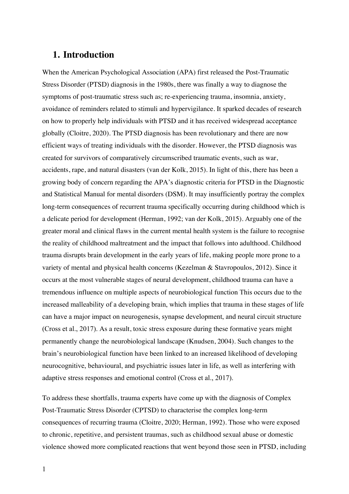# **1. Introduction**

When the American Psychological Association (APA) first released the Post-Traumatic Stress Disorder (PTSD) diagnosis in the 1980s, there was finally a way to diagnose the symptoms of post-traumatic stress such as; re-experiencing trauma, insomnia, anxiety, avoidance of reminders related to stimuli and hypervigilance. It sparked decades of research on how to properly help individuals with PTSD and it has received widespread acceptance globally (Cloitre, 2020). The PTSD diagnosis has been revolutionary and there are now efficient ways of treating individuals with the disorder. However, the PTSD diagnosis was created for survivors of comparatively circumscribed traumatic events, such as war, accidents, rape, and natural disasters (van der Kolk, 2015). In light of this, there has been a growing body of concern regarding the APA's diagnostic criteria for PTSD in the Diagnostic and Statistical Manual for mental disorders (DSM). It may insufficiently portray the complex long-term consequences of recurrent trauma specifically occurring during childhood which is a delicate period for development (Herman, 1992; van der Kolk, 2015). Arguably one of the greater moral and clinical flaws in the current mental health system is the failure to recognise the reality of childhood maltreatment and the impact that follows into adulthood. Childhood trauma disrupts brain development in the early years of life, making people more prone to a variety of mental and physical health concerns (Kezelman & Stavropoulos, 2012). Since it occurs at the most vulnerable stages of neural development, childhood trauma can have a tremendous influence on multiple aspects of neurobiological function This occurs due to the increased malleability of a developing brain, which implies that trauma in these stages of life can have a major impact on neurogenesis, synapse development, and neural circuit structure (Cross et al., 2017). As a result, toxic stress exposure during these formative years might permanently change the neurobiological landscape (Knudsen, 2004). Such changes to the brain's neurobiological function have been linked to an increased likelihood of developing neurocognitive, behavioural, and psychiatric issues later in life, as well as interfering with adaptive stress responses and emotional control (Cross et al., 2017).

To address these shortfalls, trauma experts have come up with the diagnosis of Complex Post-Traumatic Stress Disorder (CPTSD) to characterise the complex long-term consequences of recurring trauma (Cloitre, 2020; Herman, 1992). Those who were exposed to chronic, repetitive, and persistent traumas, such as childhood sexual abuse or domestic violence showed more complicated reactions that went beyond those seen in PTSD, including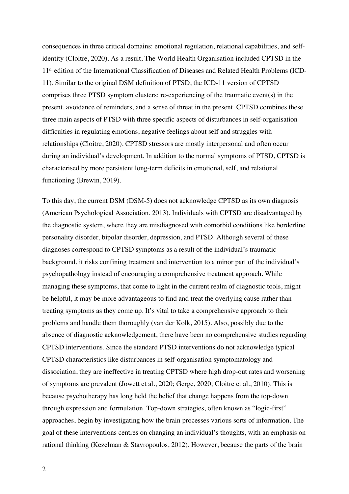consequences in three critical domains: emotional regulation, relational capabilities, and selfidentity (Cloitre, 2020). As a result, The World Health Organisation included CPTSD in the 11th edition of the International Classification of Diseases and Related Health Problems (ICD-11). Similar to the original DSM definition of PTSD, the ICD-11 version of CPTSD comprises three PTSD symptom clusters: re-experiencing of the traumatic event(s) in the present, avoidance of reminders, and a sense of threat in the present. CPTSD combines these three main aspects of PTSD with three specific aspects of disturbances in self-organisation difficulties in regulating emotions, negative feelings about self and struggles with relationships (Cloitre, 2020). CPTSD stressors are mostly interpersonal and often occur during an individual's development. In addition to the normal symptoms of PTSD, CPTSD is characterised by more persistent long-term deficits in emotional, self, and relational functioning (Brewin, 2019).

To this day, the current DSM (DSM-5) does not acknowledge CPTSD as its own diagnosis (American Psychological Association, 2013). Individuals with CPTSD are disadvantaged by the diagnostic system, where they are misdiagnosed with comorbid conditions like borderline personality disorder, bipolar disorder, depression, and PTSD. Although several of these diagnoses correspond to CPTSD symptoms as a result of the individual's traumatic background, it risks confining treatment and intervention to a minor part of the individual's psychopathology instead of encouraging a comprehensive treatment approach. While managing these symptoms, that come to light in the current realm of diagnostic tools, might be helpful, it may be more advantageous to find and treat the overlying cause rather than treating symptoms as they come up. It's vital to take a comprehensive approach to their problems and handle them thoroughly (van der Kolk, 2015). Also, possibly due to the absence of diagnostic acknowledgement, there have been no comprehensive studies regarding CPTSD interventions. Since the standard PTSD interventions do not acknowledge typical CPTSD characteristics like disturbances in self-organisation symptomatology and dissociation, they are ineffective in treating CPTSD where high drop-out rates and worsening of symptoms are prevalent (Jowett et al., 2020; Gerge, 2020; Cloitre et al., 2010). This is because psychotherapy has long held the belief that change happens from the top-down through expression and formulation. Top-down strategies, often known as "logic-first" approaches, begin by investigating how the brain processes various sorts of information. The goal of these interventions centres on changing an individual's thoughts, with an emphasis on rational thinking (Kezelman & Stavropoulos, 2012). However, because the parts of the brain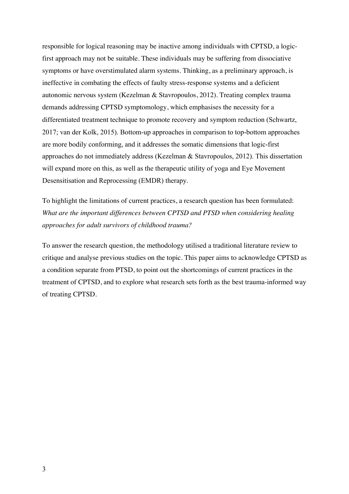responsible for logical reasoning may be inactive among individuals with CPTSD, a logicfirst approach may not be suitable. These individuals may be suffering from dissociative symptoms or have overstimulated alarm systems. Thinking, as a preliminary approach, is ineffective in combating the effects of faulty stress-response systems and a deficient autonomic nervous system (Kezelman & Stavropoulos, 2012). Treating complex trauma demands addressing CPTSD symptomology, which emphasises the necessity for a differentiated treatment technique to promote recovery and symptom reduction (Schwartz, 2017; van der Kolk, 2015). Bottom-up approaches in comparison to top-bottom approaches are more bodily conforming, and it addresses the somatic dimensions that logic-first approaches do not immediately address (Kezelman & Stavropoulos, 2012). This dissertation will expand more on this, as well as the therapeutic utility of yoga and Eye Movement Desensitisation and Reprocessing (EMDR) therapy.

To highlight the limitations of current practices, a research question has been formulated: *What are the important differences between CPTSD and PTSD when considering healing approaches for adult survivors of childhood trauma?*

To answer the research question, the methodology utilised a traditional literature review to critique and analyse previous studies on the topic. This paper aims to acknowledge CPTSD as a condition separate from PTSD, to point out the shortcomings of current practices in the treatment of CPTSD, and to explore what research sets forth as the best trauma-informed way of treating CPTSD.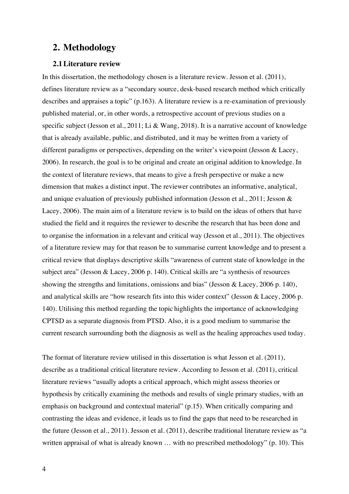# **2. Methodology**

#### **2.1Literature review**

In this dissertation, the methodology chosen is a literature review. Jesson et al. (2011), defines literature review as a "secondary source, desk-based research method which critically describes and appraises a topic" (p.163). A literature review is a re-examination of previously published material, or, in other words, a retrospective account of previous studies on a specific subject (Jesson et al., 2011; Li & Wang, 2018). It is a narrative account of knowledge that is already available, public, and distributed, and it may be written from a variety of different paradigms or perspectives, depending on the writer's viewpoint (Jesson & Lacey, 2006). In research, the goal is to be original and create an original addition to knowledge. In the context of literature reviews, that means to give a fresh perspective or make a new dimension that makes a distinct input. The reviewer contributes an informative, analytical, and unique evaluation of previously published information (Jesson et al., 2011; Jesson & Lacey, 2006). The main aim of a literature review is to build on the ideas of others that have studied the field and it requires the reviewer to describe the research that has been done and to organise the information in a relevant and critical way (Jesson et al., 2011). The objectives of a literature review may for that reason be to summarise current knowledge and to present a critical review that displays descriptive skills "awareness of current state of knowledge in the subject area" (Jesson & Lacey, 2006 p. 140). Critical skills are "a synthesis of resources showing the strengths and limitations, omissions and bias" (Jesson & Lacey, 2006 p. 140), and analytical skills are "how research fits into this wider context" (Jesson & Lacey, 2006 p. 140). Utilising this method regarding the topic highlights the importance of acknowledging CPTSD as a separate diagnosis from PTSD. Also, it is a good medium to summarise the current research surrounding both the diagnosis as well as the healing approaches used today.

The format of literature review utilised in this dissertation is what Jesson et al. (2011), describe as a traditional critical literature review. According to Jesson et al. (2011), critical literature reviews "usually adopts a critical approach, which might assess theories or hypothesis by critically examining the methods and results of single primary studies, with an emphasis on background and contextual material" (p.15). When critically comparing and contrasting the ideas and evidence, it leads us to find the gaps that need to be researched in the future (Jesson et al., 2011). Jesson et al. (2011), describe traditional literature review as "a written appraisal of what is already known ... with no prescribed methodology" (p. 10). This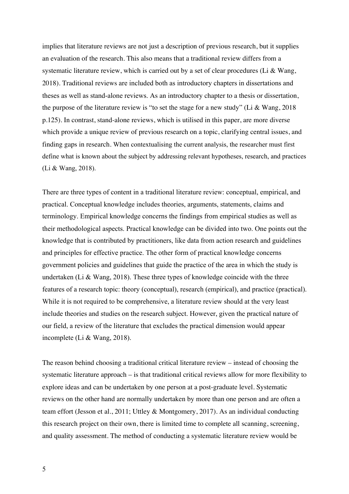implies that literature reviews are not just a description of previous research, but it supplies an evaluation of the research. This also means that a traditional review differs from a systematic literature review, which is carried out by a set of clear procedures (Li & Wang, 2018). Traditional reviews are included both as introductory chapters in dissertations and theses as well as stand-alone reviews. As an introductory chapter to a thesis or dissertation, the purpose of the literature review is "to set the stage for a new study" (Li & Wang, 2018 p.125). In contrast, stand-alone reviews, which is utilised in this paper, are more diverse which provide a unique review of previous research on a topic, clarifying central issues, and finding gaps in research. When contextualising the current analysis, the researcher must first define what is known about the subject by addressing relevant hypotheses, research, and practices (Li & Wang, 2018).

There are three types of content in a traditional literature review: conceptual, empirical, and practical. Conceptual knowledge includes theories, arguments, statements, claims and terminology. Empirical knowledge concerns the findings from empirical studies as well as their methodological aspects. Practical knowledge can be divided into two. One points out the knowledge that is contributed by practitioners, like data from action research and guidelines and principles for effective practice. The other form of practical knowledge concerns government policies and guidelines that guide the practice of the area in which the study is undertaken (Li & Wang, 2018). These three types of knowledge coincide with the three features of a research topic: theory (conceptual), research (empirical), and practice (practical). While it is not required to be comprehensive, a literature review should at the very least include theories and studies on the research subject. However, given the practical nature of our field, a review of the literature that excludes the practical dimension would appear incomplete (Li & Wang, 2018).

The reason behind choosing a traditional critical literature review – instead of choosing the systematic literature approach – is that traditional critical reviews allow for more flexibility to explore ideas and can be undertaken by one person at a post-graduate level. Systematic reviews on the other hand are normally undertaken by more than one person and are often a team effort (Jesson et al., 2011; Uttley & Montgomery, 2017). As an individual conducting this research project on their own, there is limited time to complete all scanning, screening, and quality assessment. The method of conducting a systematic literature review would be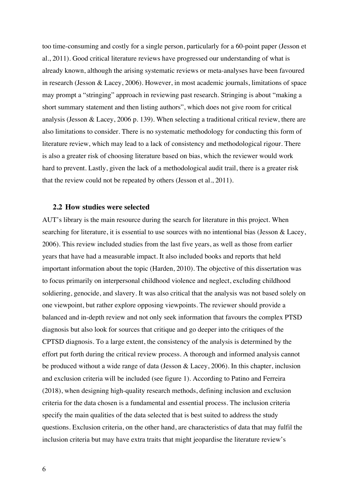too time-consuming and costly for a single person, particularly for a 60-point paper (Jesson et al., 2011). Good critical literature reviews have progressed our understanding of what is already known, although the arising systematic reviews or meta-analyses have been favoured in research (Jesson & Lacey, 2006). However, in most academic journals, limitations of space may prompt a "stringing" approach in reviewing past research. Stringing is about "making a short summary statement and then listing authors", which does not give room for critical analysis (Jesson & Lacey, 2006 p. 139). When selecting a traditional critical review, there are also limitations to consider. There is no systematic methodology for conducting this form of literature review, which may lead to a lack of consistency and methodological rigour. There is also a greater risk of choosing literature based on bias, which the reviewer would work hard to prevent. Lastly, given the lack of a methodological audit trail, there is a greater risk that the review could not be repeated by others (Jesson et al., 2011).

### **2.2 How studies were selected**

AUT's library is the main resource during the search for literature in this project. When searching for literature, it is essential to use sources with no intentional bias (Jesson & Lacey, 2006). This review included studies from the last five years, as well as those from earlier years that have had a measurable impact. It also included books and reports that held important information about the topic (Harden, 2010). The objective of this dissertation was to focus primarily on interpersonal childhood violence and neglect, excluding childhood soldiering, genocide, and slavery. It was also critical that the analysis was not based solely on one viewpoint, but rather explore opposing viewpoints. The reviewer should provide a balanced and in-depth review and not only seek information that favours the complex PTSD diagnosis but also look for sources that critique and go deeper into the critiques of the CPTSD diagnosis. To a large extent, the consistency of the analysis is determined by the effort put forth during the critical review process. A thorough and informed analysis cannot be produced without a wide range of data (Jesson & Lacey, 2006). In this chapter, inclusion and exclusion criteria will be included (see figure 1). According to Patino and Ferreira (2018), when designing high-quality research methods, defining inclusion and exclusion criteria for the data chosen is a fundamental and essential process. The inclusion criteria specify the main qualities of the data selected that is best suited to address the study questions. Exclusion criteria, on the other hand, are characteristics of data that may fulfil the inclusion criteria but may have extra traits that might jeopardise the literature review's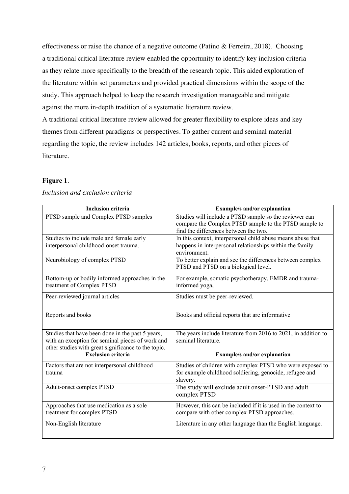effectiveness or raise the chance of a negative outcome (Patino & Ferreira, 2018). Choosing a traditional critical literature review enabled the opportunity to identify key inclusion criteria as they relate more specifically to the breadth of the research topic. This aided exploration of the literature within set parameters and provided practical dimensions within the scope of the study. This approach helped to keep the research investigation manageable and mitigate against the more in-depth tradition of a systematic literature review.

A traditional critical literature review allowed for greater flexibility to explore ideas and key themes from different paradigms or perspectives. To gather current and seminal material regarding the topic, the review includes 142 articles, books, reports, and other pieces of literature.

### **Figure 1**.

| <b>Inclusion criteria</b>                           | <b>Example/s and/or explanation</b>                            |
|-----------------------------------------------------|----------------------------------------------------------------|
| PTSD sample and Complex PTSD samples                | Studies will include a PTSD sample so the reviewer can         |
|                                                     | compare the Complex PTSD sample to the PTSD sample to          |
|                                                     | find the differences between the two.                          |
| Studies to include male and female early            | In this context, interpersonal child abuse means abuse that    |
| interpersonal childhood-onset trauma.               | happens in interpersonal relationships within the family       |
|                                                     | environment.                                                   |
| Neurobiology of complex PTSD                        | To better explain and see the differences between complex      |
|                                                     | PTSD and PTSD on a biological level.                           |
|                                                     |                                                                |
| Bottom-up or bodily informed approaches in the      | For example, somatic psychotherapy, EMDR and trauma-           |
| treatment of Complex PTSD                           | informed yoga,                                                 |
| Peer-reviewed journal articles                      | Studies must be peer-reviewed.                                 |
|                                                     |                                                                |
|                                                     |                                                                |
| Reports and books                                   | Books and official reports that are informative                |
|                                                     |                                                                |
| Studies that have been done in the past 5 years,    | The years include literature from 2016 to 2021, in addition to |
| with an exception for seminal pieces of work and    | seminal literature.                                            |
| other studies with great significance to the topic. |                                                                |
| <b>Exclusion criteria</b>                           | <b>Example/s and/or explanation</b>                            |
| Factors that are not interpersonal childhood        | Studies of children with complex PTSD who were exposed to      |
| trauma                                              | for example childhood soldiering, genocide, refugee and        |
|                                                     | slavery.                                                       |
| Adult-onset complex PTSD                            | The study will exclude adult onset-PTSD and adult              |
|                                                     | complex PTSD                                                   |
|                                                     |                                                                |
| Approaches that use medication as a sole            | However, this can be included if it is used in the context to  |
| treatment for complex PTSD                          | compare with other complex PTSD approaches.                    |
| Non-English literature                              | Literature in any other language than the English language.    |
|                                                     |                                                                |

*Inclusion and exclusion criteria*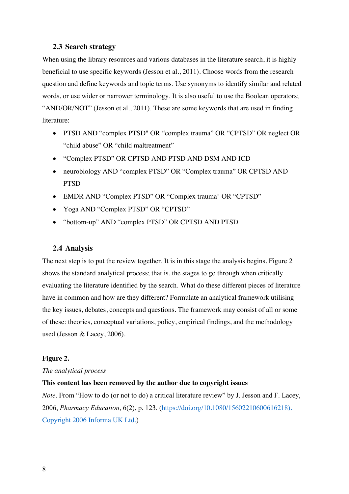### **2.3 Search strategy**

When using the library resources and various databases in the literature search, it is highly beneficial to use specific keywords (Jesson et al., 2011). Choose words from the research question and define keywords and topic terms. Use synonyms to identify similar and related words, or use wider or narrower terminology. It is also useful to use the Boolean operators; "AND/OR/NOT" (Jesson et al., 2011). These are some keywords that are used in finding literature:

- PTSD AND "complex PTSD" OR "complex trauma" OR "CPTSD" OR neglect OR "child abuse" OR "child maltreatment"
- "Complex PTSD" OR CPTSD AND PTSD AND DSM AND ICD
- neurobiology AND "complex PTSD" OR "Complex trauma" OR CPTSD AND **PTSD**
- EMDR AND "Complex PTSD" OR "Complex trauma" OR "CPTSD"
- Yoga AND "Complex PTSD" OR "CPTSD"
- "bottom-up" AND "complex PTSD" OR CPTSD AND PTSD

### **2.4 Analysis**

The next step is to put the review together. It is in this stage the analysis begins. Figure 2 shows the standard analytical process; that is, the stages to go through when critically evaluating the literature identified by the search. What do these different pieces of literature have in common and how are they different? Formulate an analytical framework utilising the key issues, debates, concepts and questions. The framework may consist of all or some of these: theories, conceptual variations, policy, empirical findings, and the methodology used (Jesson & Lacey, 2006).

#### **Figure 2.**

#### *The analytical process*

#### **This content has been removed by the author due to copyright issues**

*Note*. From "How to do (or not to do) a critical literature review" by J. Jesson and F. Lacey, 2006, *Pharmacy Education*, 6(2), p. 123. (https://doi.org/10.1080/15602210600616218). Copyright 2006 Informa UK Ltd.)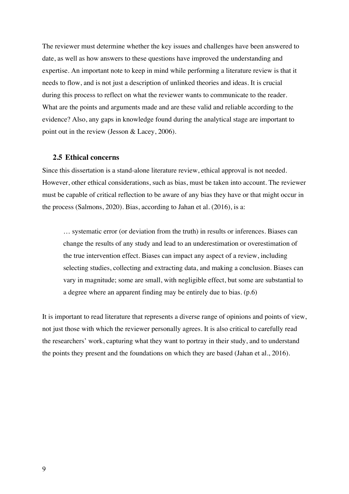The reviewer must determine whether the key issues and challenges have been answered to date, as well as how answers to these questions have improved the understanding and expertise. An important note to keep in mind while performing a literature review is that it needs to flow, and is not just a description of unlinked theories and ideas. It is crucial during this process to reflect on what the reviewer wants to communicate to the reader. What are the points and arguments made and are these valid and reliable according to the evidence? Also, any gaps in knowledge found during the analytical stage are important to point out in the review (Jesson & Lacey, 2006).

#### **2.5 Ethical concerns**

Since this dissertation is a stand-alone literature review, ethical approval is not needed. However, other ethical considerations, such as bias, must be taken into account. The reviewer must be capable of critical reflection to be aware of any bias they have or that might occur in the process (Salmons, 2020). Bias, according to Jahan et al. (2016), is a:

… systematic error (or deviation from the truth) in results or inferences. Biases can change the results of any study and lead to an underestimation or overestimation of the true intervention effect. Biases can impact any aspect of a review, including selecting studies, collecting and extracting data, and making a conclusion. Biases can vary in magnitude; some are small, with negligible effect, but some are substantial to a degree where an apparent finding may be entirely due to bias. (p.6)

It is important to read literature that represents a diverse range of opinions and points of view, not just those with which the reviewer personally agrees. It is also critical to carefully read the researchers' work, capturing what they want to portray in their study, and to understand the points they present and the foundations on which they are based (Jahan et al., 2016).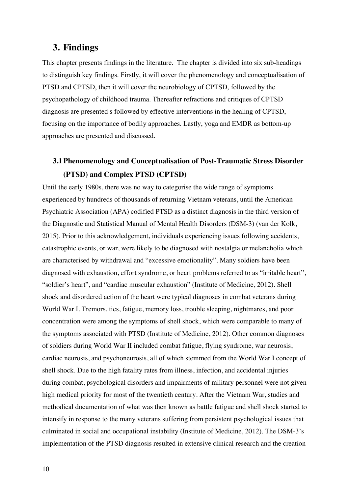# **3. Findings**

This chapter presents findings in the literature. The chapter is divided into six sub-headings to distinguish key findings. Firstly, it will cover the phenomenology and conceptualisation of PTSD and CPTSD, then it will cover the neurobiology of CPTSD, followed by the psychopathology of childhood trauma. Thereafter refractions and critiques of CPTSD diagnosis are presented s followed by effective interventions in the healing of CPTSD, focusing on the importance of bodily approaches. Lastly, yoga and EMDR as bottom-up approaches are presented and discussed.

# **3.1Phenomenology and Conceptualisation of Post-Traumatic Stress Disorder (PTSD) and Complex PTSD (CPTSD)**

Until the early 1980s, there was no way to categorise the wide range of symptoms experienced by hundreds of thousands of returning Vietnam veterans, until the American Psychiatric Association (APA) codified PTSD as a distinct diagnosis in the third version of the Diagnostic and Statistical Manual of Mental Health Disorders (DSM-3) (van der Kolk, 2015). Prior to this acknowledgement, individuals experiencing issues following accidents, catastrophic events, or war, were likely to be diagnosed with nostalgia or melancholia which are characterised by withdrawal and "excessive emotionality". Many soldiers have been diagnosed with exhaustion, effort syndrome, or heart problems referred to as "irritable heart", "soldier's heart", and "cardiac muscular exhaustion" (Institute of Medicine, 2012). Shell shock and disordered action of the heart were typical diagnoses in combat veterans during World War I. Tremors, tics, fatigue, memory loss, trouble sleeping, nightmares, and poor concentration were among the symptoms of shell shock, which were comparable to many of the symptoms associated with PTSD (Institute of Medicine, 2012). Other common diagnoses of soldiers during World War II included combat fatigue, flying syndrome, war neurosis, cardiac neurosis, and psychoneurosis, all of which stemmed from the World War I concept of shell shock. Due to the high fatality rates from illness, infection, and accidental injuries during combat, psychological disorders and impairments of military personnel were not given high medical priority for most of the twentieth century. After the Vietnam War, studies and methodical documentation of what was then known as battle fatigue and shell shock started to intensify in response to the many veterans suffering from persistent psychological issues that culminated in social and occupational instability (Institute of Medicine, 2012). The DSM-3's implementation of the PTSD diagnosis resulted in extensive clinical research and the creation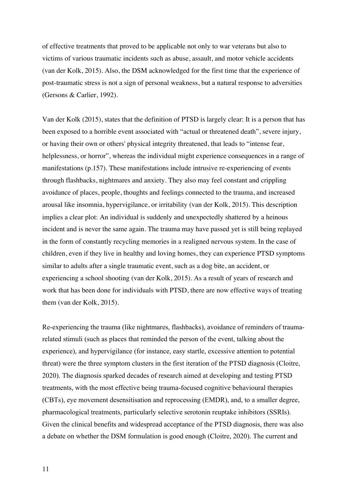of effective treatments that proved to be applicable not only to war veterans but also to victims of various traumatic incidents such as abuse, assault, and motor vehicle accidents (van der Kolk, 2015). Also, the DSM acknowledged for the first time that the experience of post-traumatic stress is not a sign of personal weakness, but a natural response to adversities (Gersons & Carlier, 1992).

Van der Kolk (2015), states that the definition of PTSD is largely clear: It is a person that has been exposed to a horrible event associated with "actual or threatened death", severe injury, or having their own or others' physical integrity threatened, that leads to "intense fear, helplessness, or horror", whereas the individual might experience consequences in a range of manifestations (p.157). These manifestations include intrusive re-experiencing of events through flashbacks, nightmares and anxiety. They also may feel constant and crippling avoidance of places, people, thoughts and feelings connected to the trauma, and increased arousal like insomnia, hypervigilance, or irritability (van der Kolk, 2015). This description implies a clear plot: An individual is suddenly and unexpectedly shattered by a heinous incident and is never the same again. The trauma may have passed yet is still being replayed in the form of constantly recycling memories in a realigned nervous system. In the case of children, even if they live in healthy and loving homes, they can experience PTSD symptoms similar to adults after a single traumatic event, such as a dog bite, an accident, or experiencing a school shooting (van der Kolk, 2015). As a result of years of research and work that has been done for individuals with PTSD, there are now effective ways of treating them (van der Kolk, 2015).

Re-experiencing the trauma (like nightmares, flashbacks), avoidance of reminders of traumarelated stimuli (such as places that reminded the person of the event, talking about the experience), and hypervigilance (for instance, easy startle, excessive attention to potential threat) were the three symptom clusters in the first iteration of the PTSD diagnosis (Cloitre, 2020). The diagnosis sparked decades of research aimed at developing and testing PTSD treatments, with the most effective being trauma-focused cognitive behavioural therapies (CBTs), eye movement desensitisation and reprocessing (EMDR), and, to a smaller degree, pharmacological treatments, particularly selective serotonin reuptake inhibitors (SSRIs). Given the clinical benefits and widespread acceptance of the PTSD diagnosis, there was also a debate on whether the DSM formulation is good enough (Cloitre, 2020). The current and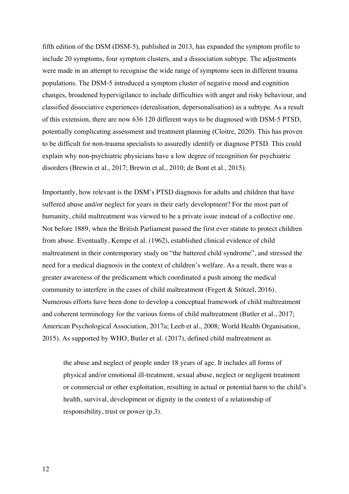fifth edition of the DSM (DSM-5), published in 2013, has expanded the symptom profile to include 20 symptoms, four symptom clusters, and a dissociation subtype. The adjustments were made in an attempt to recognise the wide range of symptoms seen in different trauma populations. The DSM-5 introduced a symptom cluster of negative mood and cognition changes, broadened hypervigilance to include difficulties with anger and risky behaviour, and classified dissociative experiences (derealisation, depersonalisation) as a subtype. As a result of this extension, there are now 636 120 different ways to be diagnosed with DSM-5 PTSD, potentially complicating assessment and treatment planning (Cloitre, 2020). This has proven to be difficult for non-trauma specialists to assuredly identify or diagnose PTSD. This could explain why non-psychiatric physicians have a low degree of recognition for psychiatric disorders (Brewin et al., 2017; Brewin et al., 2010; de Bont et al., 2015).

Importantly, how relevant is the DSM's PTSD diagnosis for adults and children that have suffered abuse and/or neglect for years in their early development? For the most part of humanity, child maltreatment was viewed to be a private issue instead of a collective one. Not before 1889, when the British Parliament passed the first ever statute to protect children from abuse. Eventually, Kempe et al. (1962), established clinical evidence of child maltreatment in their contemporary study on "the battered child syndrome", and stressed the need for a medical diagnosis in the context of children's welfare. As a result, there was a greater awareness of the predicament which coordinated a push among the medical community to interfere in the cases of child maltreatment (Fegert & Stötzel, 2016). Numerous efforts have been done to develop a conceptual framework of child maltreatment and coherent terminology for the various forms of child maltreatment (Butler et al., 2017; American Psychological Association, 2017a; Leeb et al., 2008; World Health Organisation, 2015). As supported by WHO, Butler et al. (2017), defined child maltreatment as

the abuse and neglect of people under 18 years of age. It includes all forms of physical and/or emotional ill-treatment, sexual abuse, neglect or negligent treatment or commercial or other exploitation, resulting in actual or potential harm to the child's health, survival, development or dignity in the context of a relationship of responsibility, trust or power (p.3).

12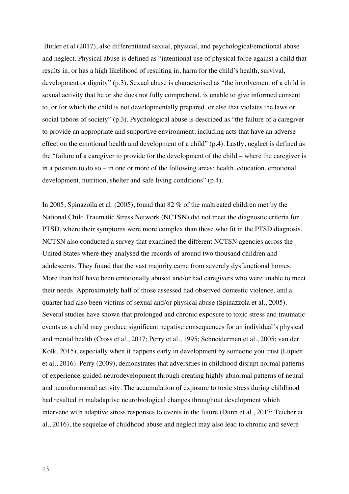Butler et al (2017), also differentiated sexual, physical, and psychological/emotional abuse and neglect. Physical abuse is defined as "intentional use of physical force against a child that results in, or has a high likelihood of resulting in, harm for the child's health, survival, development or dignity" (p.3). Sexual abuse is characterised as "the involvement of a child in sexual activity that he or she does not fully comprehend, is unable to give informed consent to, or for which the child is not developmentally prepared, or else that violates the laws or social taboos of society" (p.3). Psychological abuse is described as "the failure of a caregiver to provide an appropriate and supportive environment, including acts that have an adverse effect on the emotional health and development of a child" (p.4). Lastly, neglect is defined as the "failure of a caregiver to provide for the development of the child – where the caregiver is in a position to do so – in one or more of the following areas: health, education, emotional development, nutrition, shelter and safe living conditions" (p.4).

In 2005, Spinazolla et al. (2005), found that 82 % of the maltreated children met by the National Child Traumatic Stress Network (NCTSN) did not meet the diagnostic criteria for PTSD, where their symptoms were more complex than those who fit in the PTSD diagnosis. NCTSN also conducted a survey that examined the different NCTSN agencies across the United States where they analysed the records of around two thousand children and adolescents. They found that the vast majority came from severely dysfunctional homes. More than half have been emotionally abused and/or had caregivers who were unable to meet their needs. Approximately half of those assessed had observed domestic violence, and a quarter had also been victims of sexual and/or physical abuse (Spinazzola et al., 2005). Several studies have shown that prolonged and chronic exposure to toxic stress and traumatic events as a child may produce significant negative consequences for an individual's physical and mental health (Cross et al., 2017; Perry et al., 1995; Schneiderman et al., 2005; van der Kolk, 2015), especially when it happens early in development by someone you trust (Lupien et al., 2016). Perry (2009), demonstrates that adversities in childhood disrupt normal patterns of experience-guided neurodevelopment through creating highly abnormal patterns of neural and neurohormonal activity. The accumulation of exposure to toxic stress during childhood had resulted in maladaptive neurobiological changes throughout development which intervene with adaptive stress responses to events in the future (Dunn et al., 2017; Teicher et al., 2016), the sequelae of childhood abuse and neglect may also lead to chronic and severe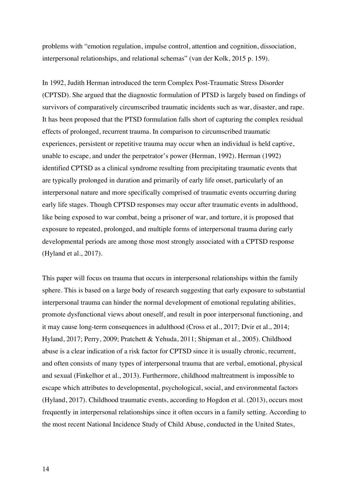problems with "emotion regulation, impulse control, attention and cognition, dissociation, interpersonal relationships, and relational schemas" (van der Kolk, 2015 p. 159).

In 1992, Judith Herman introduced the term Complex Post-Traumatic Stress Disorder (CPTSD). She argued that the diagnostic formulation of PTSD is largely based on findings of survivors of comparatively circumscribed traumatic incidents such as war, disaster, and rape. It has been proposed that the PTSD formulation falls short of capturing the complex residual effects of prolonged, recurrent trauma. In comparison to circumscribed traumatic experiences, persistent or repetitive trauma may occur when an individual is held captive, unable to escape, and under the perpetrator's power (Herman, 1992). Herman (1992) identified CPTSD as a clinical syndrome resulting from precipitating traumatic events that are typically prolonged in duration and primarily of early life onset, particularly of an interpersonal nature and more specifically comprised of traumatic events occurring during early life stages. Though CPTSD responses may occur after traumatic events in adulthood, like being exposed to war combat, being a prisoner of war, and torture, it is proposed that exposure to repeated, prolonged, and multiple forms of interpersonal trauma during early developmental periods are among those most strongly associated with a CPTSD response (Hyland et al., 2017).

This paper will focus on trauma that occurs in interpersonal relationships within the family sphere. This is based on a large body of research suggesting that early exposure to substantial interpersonal trauma can hinder the normal development of emotional regulating abilities, promote dysfunctional views about oneself, and result in poor interpersonal functioning, and it may cause long-term consequences in adulthood (Cross et al., 2017; Dvir et al., 2014; Hyland, 2017; Perry, 2009; Pratchett & Yehuda, 2011; Shipman et al., 2005). Childhood abuse is a clear indication of a risk factor for CPTSD since it is usually chronic, recurrent, and often consists of many types of interpersonal trauma that are verbal, emotional, physical and sexual (Finkelhor et al., 2013). Furthermore, childhood maltreatment is impossible to escape which attributes to developmental, psychological, social, and environmental factors (Hyland, 2017). Childhood traumatic events, according to Hogdon et al. (2013), occurs most frequently in interpersonal relationships since it often occurs in a family setting. According to the most recent National Incidence Study of Child Abuse, conducted in the United States,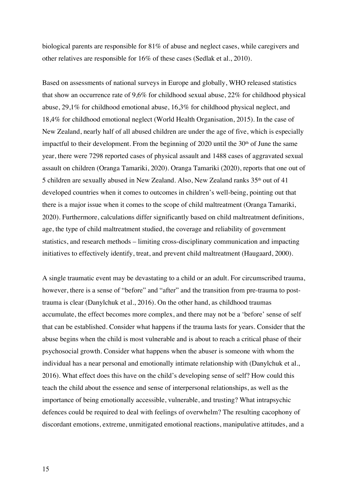biological parents are responsible for 81% of abuse and neglect cases, while caregivers and other relatives are responsible for 16% of these cases (Sedlak et al., 2010).

Based on assessments of national surveys in Europe and globally, WHO released statistics that show an occurrence rate of 9,6% for childhood sexual abuse, 22% for childhood physical abuse, 29,1% for childhood emotional abuse, 16,3% for childhood physical neglect, and 18,4% for childhood emotional neglect (World Health Organisation, 2015). In the case of New Zealand, nearly half of all abused children are under the age of five, which is especially impactful to their development. From the beginning of 2020 until the  $30<sup>th</sup>$  of June the same year, there were 7298 reported cases of physical assault and 1488 cases of aggravated sexual assault on children (Oranga Tamariki, 2020). Oranga Tamariki (2020), reports that one out of 5 children are sexually abused in New Zealand. Also, New Zealand ranks 35th out of 41 developed countries when it comes to outcomes in children's well-being, pointing out that there is a major issue when it comes to the scope of child maltreatment (Oranga Tamariki, 2020). Furthermore, calculations differ significantly based on child maltreatment definitions, age, the type of child maltreatment studied, the coverage and reliability of government statistics, and research methods – limiting cross-disciplinary communication and impacting initiatives to effectively identify, treat, and prevent child maltreatment (Haugaard, 2000).

A single traumatic event may be devastating to a child or an adult. For circumscribed trauma, however, there is a sense of "before" and "after" and the transition from pre-trauma to posttrauma is clear (Danylchuk et al., 2016). On the other hand, as childhood traumas accumulate, the effect becomes more complex, and there may not be a 'before' sense of self that can be established. Consider what happens if the trauma lasts for years. Consider that the abuse begins when the child is most vulnerable and is about to reach a critical phase of their psychosocial growth. Consider what happens when the abuser is someone with whom the individual has a near personal and emotionally intimate relationship with (Danylchuk et al., 2016). What effect does this have on the child's developing sense of self? How could this teach the child about the essence and sense of interpersonal relationships, as well as the importance of being emotionally accessible, vulnerable, and trusting? What intrapsychic defences could be required to deal with feelings of overwhelm? The resulting cacophony of discordant emotions, extreme, unmitigated emotional reactions, manipulative attitudes, and a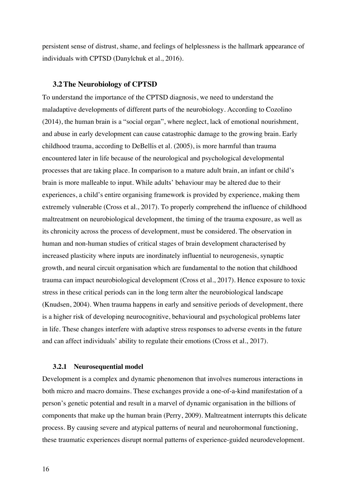persistent sense of distrust, shame, and feelings of helplessness is the hallmark appearance of individuals with CPTSD (Danylchuk et al., 2016).

#### **3.2The Neurobiology of CPTSD**

To understand the importance of the CPTSD diagnosis, we need to understand the maladaptive developments of different parts of the neurobiology. According to Cozolino (2014), the human brain is a "social organ", where neglect, lack of emotional nourishment, and abuse in early development can cause catastrophic damage to the growing brain. Early childhood trauma, according to DeBellis et al. (2005), is more harmful than trauma encountered later in life because of the neurological and psychological developmental processes that are taking place. In comparison to a mature adult brain, an infant or child's brain is more malleable to input. While adults' behaviour may be altered due to their experiences, a child's entire organising framework is provided by experience, making them extremely vulnerable (Cross et al., 2017). To properly comprehend the influence of childhood maltreatment on neurobiological development, the timing of the trauma exposure, as well as its chronicity across the process of development, must be considered. The observation in human and non-human studies of critical stages of brain development characterised by increased plasticity where inputs are inordinately influential to neurogenesis, synaptic growth, and neural circuit organisation which are fundamental to the notion that childhood trauma can impact neurobiological development (Cross et al., 2017). Hence exposure to toxic stress in these critical periods can in the long term alter the neurobiological landscape (Knudsen, 2004). When trauma happens in early and sensitive periods of development, there is a higher risk of developing neurocognitive, behavioural and psychological problems later in life. These changes interfere with adaptive stress responses to adverse events in the future and can affect individuals' ability to regulate their emotions (Cross et al., 2017).

#### **3.2.1 Neurosequential model**

Development is a complex and dynamic phenomenon that involves numerous interactions in both micro and macro domains. These exchanges provide a one-of-a-kind manifestation of a person's genetic potential and result in a marvel of dynamic organisation in the billions of components that make up the human brain (Perry, 2009). Maltreatment interrupts this delicate process. By causing severe and atypical patterns of neural and neurohormonal functioning, these traumatic experiences disrupt normal patterns of experience-guided neurodevelopment.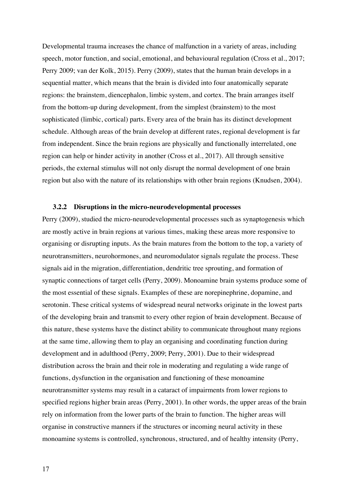Developmental trauma increases the chance of malfunction in a variety of areas, including speech, motor function, and social, emotional, and behavioural regulation (Cross et al., 2017; Perry 2009; van der Kolk, 2015). Perry (2009), states that the human brain develops in a sequential matter, which means that the brain is divided into four anatomically separate regions: the brainstem, diencephalon, limbic system, and cortex. The brain arranges itself from the bottom-up during development, from the simplest (brainstem) to the most sophisticated (limbic, cortical) parts. Every area of the brain has its distinct development schedule. Although areas of the brain develop at different rates, regional development is far from independent. Since the brain regions are physically and functionally interrelated, one region can help or hinder activity in another (Cross et al., 2017). All through sensitive periods, the external stimulus will not only disrupt the normal development of one brain region but also with the nature of its relationships with other brain regions (Knudsen, 2004).

#### **3.2.2 Disruptions in the micro-neurodevelopmental processes**

Perry (2009), studied the micro-neurodevelopmental processes such as synaptogenesis which are mostly active in brain regions at various times, making these areas more responsive to organising or disrupting inputs. As the brain matures from the bottom to the top, a variety of neurotransmitters, neurohormones, and neuromodulator signals regulate the process. These signals aid in the migration, differentiation, dendritic tree sprouting, and formation of synaptic connections of target cells (Perry, 2009). Monoamine brain systems produce some of the most essential of these signals. Examples of these are norepinephrine, dopamine, and serotonin. These critical systems of widespread neural networks originate in the lowest parts of the developing brain and transmit to every other region of brain development. Because of this nature, these systems have the distinct ability to communicate throughout many regions at the same time, allowing them to play an organising and coordinating function during development and in adulthood (Perry, 2009; Perry, 2001). Due to their widespread distribution across the brain and their role in moderating and regulating a wide range of functions, dysfunction in the organisation and functioning of these monoamine neurotransmitter systems may result in a cataract of impairments from lower regions to specified regions higher brain areas (Perry, 2001). In other words, the upper areas of the brain rely on information from the lower parts of the brain to function. The higher areas will organise in constructive manners if the structures or incoming neural activity in these monoamine systems is controlled, synchronous, structured, and of healthy intensity (Perry,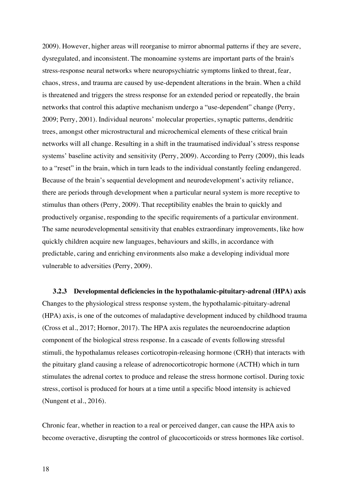2009). However, higher areas will reorganise to mirror abnormal patterns if they are severe, dysregulated, and inconsistent. The monoamine systems are important parts of the brain's stress-response neural networks where neuropsychiatric symptoms linked to threat, fear, chaos, stress, and trauma are caused by use-dependent alterations in the brain. When a child is threatened and triggers the stress response for an extended period or repeatedly, the brain networks that control this adaptive mechanism undergo a "use-dependent" change (Perry, 2009; Perry, 2001). Individual neurons' molecular properties, synaptic patterns, dendritic trees, amongst other microstructural and microchemical elements of these critical brain networks will all change. Resulting in a shift in the traumatised individual's stress response systems' baseline activity and sensitivity (Perry, 2009). According to Perry (2009), this leads to a "reset" in the brain, which in turn leads to the individual constantly feeling endangered. Because of the brain's sequential development and neurodevelopment's activity reliance, there are periods through development when a particular neural system is more receptive to stimulus than others (Perry, 2009). That receptibility enables the brain to quickly and productively organise, responding to the specific requirements of a particular environment. The same neurodevelopmental sensitivity that enables extraordinary improvements, like how quickly children acquire new languages, behaviours and skills, in accordance with predictable, caring and enriching environments also make a developing individual more vulnerable to adversities (Perry, 2009).

**3.2.3 Developmental deficiencies in the hypothalamic-pituitary-adrenal (HPA) axis** Changes to the physiological stress response system, the hypothalamic-pituitary-adrenal (HPA) axis, is one of the outcomes of maladaptive development induced by childhood trauma (Cross et al., 2017; Hornor, 2017). The HPA axis regulates the neuroendocrine adaption component of the biological stress response. In a cascade of events following stressful stimuli, the hypothalamus releases corticotropin-releasing hormone (CRH) that interacts with the pituitary gland causing a release of adrenocorticotropic hormone (ACTH) which in turn stimulates the adrenal cortex to produce and release the stress hormone cortisol. During toxic stress, cortisol is produced for hours at a time until a specific blood intensity is achieved (Nungent et al., 2016).

Chronic fear, whether in reaction to a real or perceived danger, can cause the HPA axis to become overactive, disrupting the control of glucocorticoids or stress hormones like cortisol.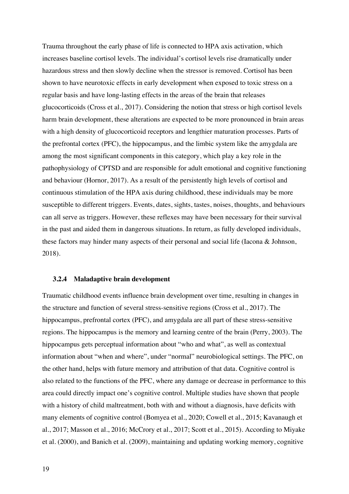Trauma throughout the early phase of life is connected to HPA axis activation, which increases baseline cortisol levels. The individual's cortisol levels rise dramatically under hazardous stress and then slowly decline when the stressor is removed. Cortisol has been shown to have neurotoxic effects in early development when exposed to toxic stress on a regular basis and have long-lasting effects in the areas of the brain that releases glucocorticoids (Cross et al., 2017). Considering the notion that stress or high cortisol levels harm brain development, these alterations are expected to be more pronounced in brain areas with a high density of glucocorticoid receptors and lengthier maturation processes. Parts of the prefrontal cortex (PFC), the hippocampus, and the limbic system like the amygdala are among the most significant components in this category, which play a key role in the pathophysiology of CPTSD and are responsible for adult emotional and cognitive functioning and behaviour (Hornor, 2017). As a result of the persistently high levels of cortisol and continuous stimulation of the HPA axis during childhood, these individuals may be more susceptible to different triggers. Events, dates, sights, tastes, noises, thoughts, and behaviours can all serve as triggers. However, these reflexes may have been necessary for their survival in the past and aided them in dangerous situations. In return, as fully developed individuals, these factors may hinder many aspects of their personal and social life (Iacona & Johnson, 2018).

#### **3.2.4 Maladaptive brain development**

Traumatic childhood events influence brain development over time, resulting in changes in the structure and function of several stress-sensitive regions (Cross et al., 2017). The hippocampus, prefrontal cortex (PFC), and amygdala are all part of these stress-sensitive regions. The hippocampus is the memory and learning centre of the brain (Perry, 2003). The hippocampus gets perceptual information about "who and what", as well as contextual information about "when and where", under "normal" neurobiological settings. The PFC, on the other hand, helps with future memory and attribution of that data. Cognitive control is also related to the functions of the PFC, where any damage or decrease in performance to this area could directly impact one's cognitive control. Multiple studies have shown that people with a history of child maltreatment, both with and without a diagnosis, have deficits with many elements of cognitive control (Bomyea et al., 2020; Cowell et al., 2015; Kavanaugh et al., 2017; Masson et al., 2016; McCrory et al., 2017; Scott et al., 2015). According to Miyake et al. (2000), and Banich et al. (2009), maintaining and updating working memory, cognitive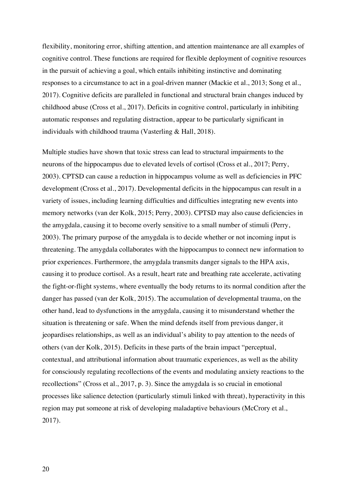flexibility, monitoring error, shifting attention, and attention maintenance are all examples of cognitive control. These functions are required for flexible deployment of cognitive resources in the pursuit of achieving a goal, which entails inhibiting instinctive and dominating responses to a circumstance to act in a goal-driven manner (Mackie et al., 2013; Song et al., 2017). Cognitive deficits are paralleled in functional and structural brain changes induced by childhood abuse (Cross et al., 2017). Deficits in cognitive control, particularly in inhibiting automatic responses and regulating distraction, appear to be particularly significant in individuals with childhood trauma (Vasterling & Hall, 2018).

Multiple studies have shown that toxic stress can lead to structural impairments to the neurons of the hippocampus due to elevated levels of cortisol (Cross et al., 2017; Perry, 2003). CPTSD can cause a reduction in hippocampus volume as well as deficiencies in PFC development (Cross et al., 2017). Developmental deficits in the hippocampus can result in a variety of issues, including learning difficulties and difficulties integrating new events into memory networks (van der Kolk, 2015; Perry, 2003). CPTSD may also cause deficiencies in the amygdala, causing it to become overly sensitive to a small number of stimuli (Perry, 2003). The primary purpose of the amygdala is to decide whether or not incoming input is threatening. The amygdala collaborates with the hippocampus to connect new information to prior experiences. Furthermore, the amygdala transmits danger signals to the HPA axis, causing it to produce cortisol. As a result, heart rate and breathing rate accelerate, activating the fight-or-flight systems, where eventually the body returns to its normal condition after the danger has passed (van der Kolk, 2015). The accumulation of developmental trauma, on the other hand, lead to dysfunctions in the amygdala, causing it to misunderstand whether the situation is threatening or safe. When the mind defends itself from previous danger, it jeopardises relationships, as well as an individual's ability to pay attention to the needs of others (van der Kolk, 2015). Deficits in these parts of the brain impact "perceptual, contextual, and attributional information about traumatic experiences, as well as the ability for consciously regulating recollections of the events and modulating anxiety reactions to the recollections" (Cross et al., 2017, p. 3). Since the amygdala is so crucial in emotional processes like salience detection (particularly stimuli linked with threat), hyperactivity in this region may put someone at risk of developing maladaptive behaviours (McCrory et al., 2017).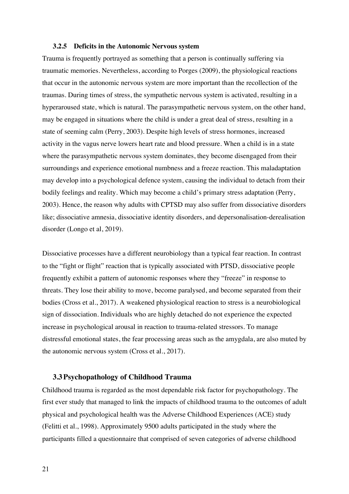#### **3.2.5 Deficits in the Autonomic Nervous system**

Trauma is frequently portrayed as something that a person is continually suffering via traumatic memories. Nevertheless, according to Porges (2009), the physiological reactions that occur in the autonomic nervous system are more important than the recollection of the traumas. During times of stress, the sympathetic nervous system is activated, resulting in a hyperaroused state, which is natural. The parasympathetic nervous system, on the other hand, may be engaged in situations where the child is under a great deal of stress, resulting in a state of seeming calm (Perry, 2003). Despite high levels of stress hormones, increased activity in the vagus nerve lowers heart rate and blood pressure. When a child is in a state where the parasympathetic nervous system dominates, they become disengaged from their surroundings and experience emotional numbness and a freeze reaction. This maladaptation may develop into a psychological defence system, causing the individual to detach from their bodily feelings and reality. Which may become a child's primary stress adaptation (Perry, 2003). Hence, the reason why adults with CPTSD may also suffer from dissociative disorders like; dissociative amnesia, dissociative identity disorders, and depersonalisation-derealisation disorder (Longo et al, 2019).

Dissociative processes have a different neurobiology than a typical fear reaction. In contrast to the "fight or flight" reaction that is typically associated with PTSD, dissociative people frequently exhibit a pattern of autonomic responses where they "freeze" in response to threats. They lose their ability to move, become paralysed, and become separated from their bodies (Cross et al., 2017). A weakened physiological reaction to stress is a neurobiological sign of dissociation. Individuals who are highly detached do not experience the expected increase in psychological arousal in reaction to trauma-related stressors. To manage distressful emotional states, the fear processing areas such as the amygdala, are also muted by the autonomic nervous system (Cross et al., 2017).

#### **3.3Psychopathology of Childhood Trauma**

Childhood trauma is regarded as the most dependable risk factor for psychopathology. The first ever study that managed to link the impacts of childhood trauma to the outcomes of adult physical and psychological health was the Adverse Childhood Experiences (ACE) study (Felitti et al., 1998). Approximately 9500 adults participated in the study where the participants filled a questionnaire that comprised of seven categories of adverse childhood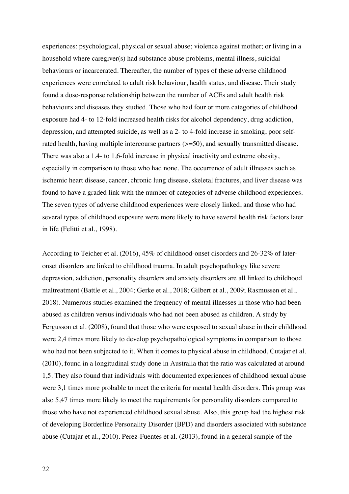experiences: psychological, physical or sexual abuse; violence against mother; or living in a household where caregiver(s) had substance abuse problems, mental illness, suicidal behaviours or incarcerated. Thereafter, the number of types of these adverse childhood experiences were correlated to adult risk behaviour, health status, and disease. Their study found a dose-response relationship between the number of ACEs and adult health risk behaviours and diseases they studied. Those who had four or more categories of childhood exposure had 4- to 12-fold increased health risks for alcohol dependency, drug addiction, depression, and attempted suicide, as well as a 2- to 4-fold increase in smoking, poor selfrated health, having multiple intercourse partners ( $>=$  50), and sexually transmitted disease. There was also a 1,4- to 1,6-fold increase in physical inactivity and extreme obesity, especially in comparison to those who had none. The occurrence of adult illnesses such as ischemic heart disease, cancer, chronic lung disease, skeletal fractures, and liver disease was found to have a graded link with the number of categories of adverse childhood experiences. The seven types of adverse childhood experiences were closely linked, and those who had several types of childhood exposure were more likely to have several health risk factors later in life (Felitti et al., 1998).

According to Teicher et al. (2016), 45% of childhood-onset disorders and 26-32% of lateronset disorders are linked to childhood trauma. In adult psychopathology like severe depression, addiction, personality disorders and anxiety disorders are all linked to childhood maltreatment (Battle et al., 2004; Gerke et al., 2018; Gilbert et al., 2009; Rasmussen et al., 2018). Numerous studies examined the frequency of mental illnesses in those who had been abused as children versus individuals who had not been abused as children. A study by Fergusson et al. (2008), found that those who were exposed to sexual abuse in their childhood were 2,4 times more likely to develop psychopathological symptoms in comparison to those who had not been subjected to it. When it comes to physical abuse in childhood, Cutajar et al. (2010), found in a longitudinal study done in Australia that the ratio was calculated at around 1,5. They also found that individuals with documented experiences of childhood sexual abuse were 3,1 times more probable to meet the criteria for mental health disorders. This group was also 5,47 times more likely to meet the requirements for personality disorders compared to those who have not experienced childhood sexual abuse. Also, this group had the highest risk of developing Borderline Personality Disorder (BPD) and disorders associated with substance abuse (Cutajar et al., 2010). Perez-Fuentes et al. (2013), found in a general sample of the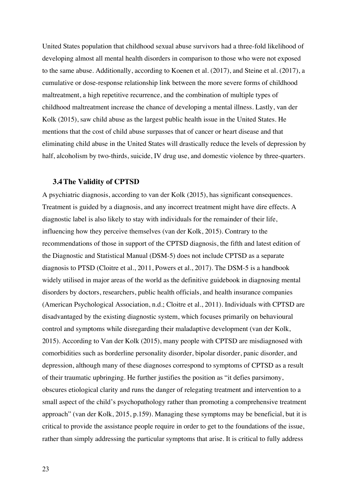United States population that childhood sexual abuse survivors had a three-fold likelihood of developing almost all mental health disorders in comparison to those who were not exposed to the same abuse. Additionally, according to Koenen et al. (2017), and Steine et al. (2017), a cumulative or dose-response relationship link between the more severe forms of childhood maltreatment, a high repetitive recurrence, and the combination of multiple types of childhood maltreatment increase the chance of developing a mental illness. Lastly, van der Kolk (2015), saw child abuse as the largest public health issue in the United States. He mentions that the cost of child abuse surpasses that of cancer or heart disease and that eliminating child abuse in the United States will drastically reduce the levels of depression by half, alcoholism by two-thirds, suicide, IV drug use, and domestic violence by three-quarters.

#### **3.4The Validity of CPTSD**

A psychiatric diagnosis, according to van der Kolk (2015), has significant consequences. Treatment is guided by a diagnosis, and any incorrect treatment might have dire effects. A diagnostic label is also likely to stay with individuals for the remainder of their life, influencing how they perceive themselves (van der Kolk, 2015). Contrary to the recommendations of those in support of the CPTSD diagnosis, the fifth and latest edition of the Diagnostic and Statistical Manual (DSM-5) does not include CPTSD as a separate diagnosis to PTSD (Cloitre et al., 2011, Powers et al., 2017). The DSM-5 is a handbook widely utilised in major areas of the world as the definitive guidebook in diagnosing mental disorders by doctors, researchers, public health officials, and health insurance companies (American Psychological Association, n.d.; Cloitre et al., 2011). Individuals with CPTSD are disadvantaged by the existing diagnostic system, which focuses primarily on behavioural control and symptoms while disregarding their maladaptive development (van der Kolk, 2015). According to Van der Kolk (2015), many people with CPTSD are misdiagnosed with comorbidities such as borderline personality disorder, bipolar disorder, panic disorder, and depression, although many of these diagnoses correspond to symptoms of CPTSD as a result of their traumatic upbringing. He further justifies the position as "it defies parsimony, obscures etiological clarity and runs the danger of relegating treatment and intervention to a small aspect of the child's psychopathology rather than promoting a comprehensive treatment approach" (van der Kolk, 2015, p.159). Managing these symptoms may be beneficial, but it is critical to provide the assistance people require in order to get to the foundations of the issue, rather than simply addressing the particular symptoms that arise. It is critical to fully address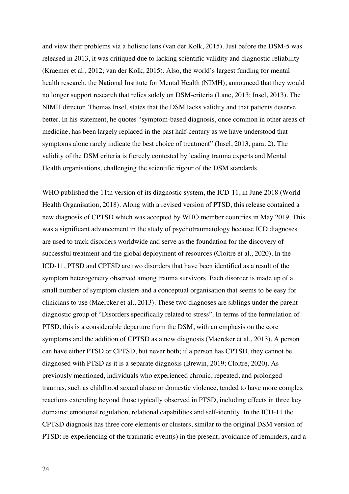and view their problems via a holistic lens (van der Kolk, 2015). Just before the DSM-5 was released in 2013, it was critiqued due to lacking scientific validity and diagnostic reliability (Kraemer et al., 2012; van der Kolk, 2015). Also, the world's largest funding for mental health research, the National Institute for Mental Health (NIMH), announced that they would no longer support research that relies solely on DSM-criteria (Lane, 2013; Insel, 2013). The NIMH director, Thomas Insel, states that the DSM lacks validity and that patients deserve better. In his statement, he quotes "symptom-based diagnosis, once common in other areas of medicine, has been largely replaced in the past half-century as we have understood that symptoms alone rarely indicate the best choice of treatment" (Insel, 2013, para. 2). The validity of the DSM criteria is fiercely contested by leading trauma experts and Mental Health organisations, challenging the scientific rigour of the DSM standards.

WHO published the 11th version of its diagnostic system, the ICD-11, in June 2018 (World Health Organisation, 2018). Along with a revised version of PTSD, this release contained a new diagnosis of CPTSD which was accepted by WHO member countries in May 2019. This was a significant advancement in the study of psychotraumatology because ICD diagnoses are used to track disorders worldwide and serve as the foundation for the discovery of successful treatment and the global deployment of resources (Cloitre et al., 2020). In the ICD-11, PTSD and CPTSD are two disorders that have been identified as a result of the symptom heterogeneity observed among trauma survivors. Each disorder is made up of a small number of symptom clusters and a conceptual organisation that seems to be easy for clinicians to use (Maercker et al., 2013). These two diagnoses are siblings under the parent diagnostic group of "Disorders specifically related to stress". In terms of the formulation of PTSD, this is a considerable departure from the DSM, with an emphasis on the core symptoms and the addition of CPTSD as a new diagnosis (Maercker et al., 2013). A person can have either PTSD or CPTSD, but never both; if a person has CPTSD, they cannot be diagnosed with PTSD as it is a separate diagnosis (Brewin, 2019; Cloitre, 2020). As previously mentioned, individuals who experienced chronic, repeated, and prolonged traumas, such as childhood sexual abuse or domestic violence, tended to have more complex reactions extending beyond those typically observed in PTSD, including effects in three key domains: emotional regulation, relational capabilities and self-identity. In the ICD-11 the CPTSD diagnosis has three core elements or clusters, similar to the original DSM version of PTSD: re-experiencing of the traumatic event(s) in the present, avoidance of reminders, and a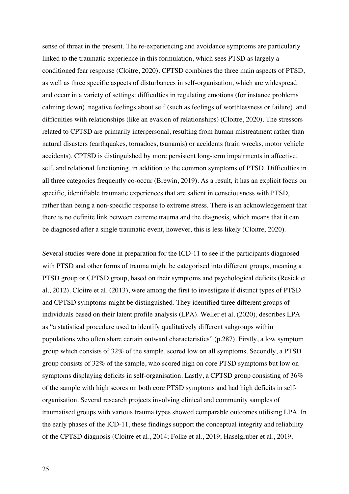sense of threat in the present. The re-experiencing and avoidance symptoms are particularly linked to the traumatic experience in this formulation, which sees PTSD as largely a conditioned fear response (Cloitre, 2020). CPTSD combines the three main aspects of PTSD, as well as three specific aspects of disturbances in self-organisation, which are widespread and occur in a variety of settings: difficulties in regulating emotions (for instance problems calming down), negative feelings about self (such as feelings of worthlessness or failure), and difficulties with relationships (like an evasion of relationships) (Cloitre, 2020). The stressors related to CPTSD are primarily interpersonal, resulting from human mistreatment rather than natural disasters (earthquakes, tornadoes, tsunamis) or accidents (train wrecks, motor vehicle accidents). CPTSD is distinguished by more persistent long-term impairments in affective, self, and relational functioning, in addition to the common symptoms of PTSD. Difficulties in all three categories frequently co-occur (Brewin, 2019). As a result, it has an explicit focus on specific, identifiable traumatic experiences that are salient in consciousness with PTSD, rather than being a non-specific response to extreme stress. There is an acknowledgement that there is no definite link between extreme trauma and the diagnosis, which means that it can be diagnosed after a single traumatic event, however, this is less likely (Cloitre, 2020).

Several studies were done in preparation for the ICD-11 to see if the participants diagnosed with PTSD and other forms of trauma might be categorised into different groups, meaning a PTSD group or CPTSD group, based on their symptoms and psychological deficits (Resick et al., 2012). Cloitre et al. (2013), were among the first to investigate if distinct types of PTSD and CPTSD symptoms might be distinguished. They identified three different groups of individuals based on their latent profile analysis (LPA). Weller et al. (2020), describes LPA as "a statistical procedure used to identify qualitatively different subgroups within populations who often share certain outward characteristics" (p.287). Firstly, a low symptom group which consists of 32% of the sample, scored low on all symptoms. Secondly, a PTSD group consists of 32% of the sample, who scored high on core PTSD symptoms but low on symptoms displaying deficits in self-organisation. Lastly, a CPTSD group consisting of 36% of the sample with high scores on both core PTSD symptoms and had high deficits in selforganisation. Several research projects involving clinical and community samples of traumatised groups with various trauma types showed comparable outcomes utilising LPA. In the early phases of the ICD-11, these findings support the conceptual integrity and reliability of the CPTSD diagnosis (Cloitre et al., 2014; Folke et al., 2019; Haselgruber et al., 2019;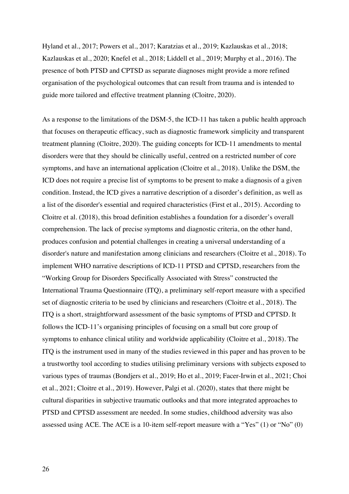Hyland et al., 2017; Powers et al., 2017; Karatzias et al., 2019; Kazlauskas et al., 2018; Kazlauskas et al., 2020; Knefel et al., 2018; Liddell et al., 2019; Murphy et al., 2016). The presence of both PTSD and CPTSD as separate diagnoses might provide a more refined organisation of the psychological outcomes that can result from trauma and is intended to guide more tailored and effective treatment planning (Cloitre, 2020).

As a response to the limitations of the DSM-5, the ICD-11 has taken a public health approach that focuses on therapeutic efficacy, such as diagnostic framework simplicity and transparent treatment planning (Cloitre, 2020). The guiding concepts for ICD-11 amendments to mental disorders were that they should be clinically useful, centred on a restricted number of core symptoms, and have an international application (Cloitre et al., 2018). Unlike the DSM, the ICD does not require a precise list of symptoms to be present to make a diagnosis of a given condition. Instead, the ICD gives a narrative description of a disorder's definition, as well as a list of the disorder's essential and required characteristics (First et al., 2015). According to Cloitre et al. (2018), this broad definition establishes a foundation for a disorder's overall comprehension. The lack of precise symptoms and diagnostic criteria, on the other hand, produces confusion and potential challenges in creating a universal understanding of a disorder's nature and manifestation among clinicians and researchers (Cloitre et al., 2018). To implement WHO narrative descriptions of ICD-11 PTSD and CPTSD, researchers from the "Working Group for Disorders Specifically Associated with Stress" constructed the International Trauma Questionnaire (ITQ), a preliminary self-report measure with a specified set of diagnostic criteria to be used by clinicians and researchers (Cloitre et al., 2018). The ITQ is a short, straightforward assessment of the basic symptoms of PTSD and CPTSD. It follows the ICD-11's organising principles of focusing on a small but core group of symptoms to enhance clinical utility and worldwide applicability (Cloitre et al., 2018). The ITQ is the instrument used in many of the studies reviewed in this paper and has proven to be a trustworthy tool according to studies utilising preliminary versions with subjects exposed to various types of traumas (Bondjers et al., 2019; Ho et al., 2019; Facer-Irwin et al., 2021; Choi et al., 2021; Cloitre et al., 2019). However, Palgi et al. (2020), states that there might be cultural disparities in subjective traumatic outlooks and that more integrated approaches to PTSD and CPTSD assessment are needed. In some studies, childhood adversity was also assessed using ACE. The ACE is a 10-item self-report measure with a "Yes" (1) or "No" (0)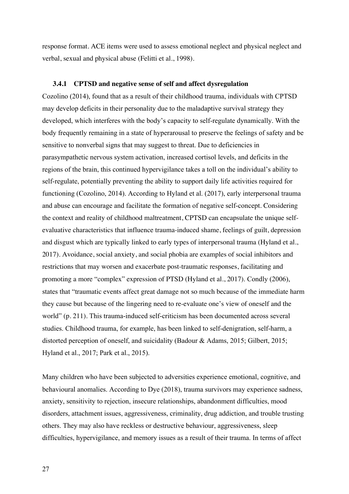response format. ACE items were used to assess emotional neglect and physical neglect and verbal, sexual and physical abuse (Felitti et al., 1998).

#### **3.4.1 CPTSD and negative sense of self and affect dysregulation**

Cozolino (2014), found that as a result of their childhood trauma, individuals with CPTSD may develop deficits in their personality due to the maladaptive survival strategy they developed, which interferes with the body's capacity to self-regulate dynamically. With the body frequently remaining in a state of hyperarousal to preserve the feelings of safety and be sensitive to nonverbal signs that may suggest to threat. Due to deficiencies in parasympathetic nervous system activation, increased cortisol levels, and deficits in the regions of the brain, this continued hypervigilance takes a toll on the individual's ability to self-regulate, potentially preventing the ability to support daily life activities required for functioning (Cozolino, 2014). According to Hyland et al. (2017), early interpersonal trauma and abuse can encourage and facilitate the formation of negative self-concept. Considering the context and reality of childhood maltreatment, CPTSD can encapsulate the unique selfevaluative characteristics that influence trauma-induced shame, feelings of guilt, depression and disgust which are typically linked to early types of interpersonal trauma (Hyland et al., 2017). Avoidance, social anxiety, and social phobia are examples of social inhibitors and restrictions that may worsen and exacerbate post-traumatic responses, facilitating and promoting a more "complex" expression of PTSD (Hyland et al., 2017). Condly (2006), states that "traumatic events affect great damage not so much because of the immediate harm they cause but because of the lingering need to re-evaluate one's view of oneself and the world" (p. 211). This trauma-induced self-criticism has been documented across several studies. Childhood trauma, for example, has been linked to self-denigration, self-harm, a distorted perception of oneself, and suicidality (Badour & Adams, 2015; Gilbert, 2015; Hyland et al., 2017; Park et al., 2015).

Many children who have been subjected to adversities experience emotional, cognitive, and behavioural anomalies. According to Dye (2018), trauma survivors may experience sadness, anxiety, sensitivity to rejection, insecure relationships, abandonment difficulties, mood disorders, attachment issues, aggressiveness, criminality, drug addiction, and trouble trusting others. They may also have reckless or destructive behaviour, aggressiveness, sleep difficulties, hypervigilance, and memory issues as a result of their trauma. In terms of affect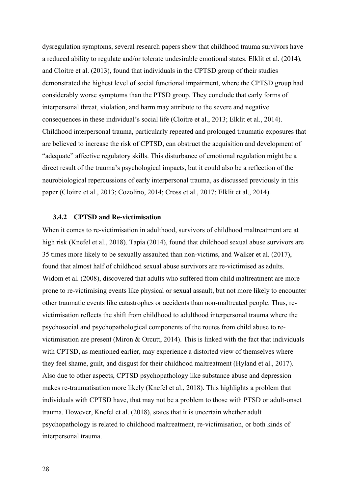dysregulation symptoms, several research papers show that childhood trauma survivors have a reduced ability to regulate and/or tolerate undesirable emotional states. Elklit et al. (2014), and Cloitre et al. (2013), found that individuals in the CPTSD group of their studies demonstrated the highest level of social functional impairment, where the CPTSD group had considerably worse symptoms than the PTSD group. They conclude that early forms of interpersonal threat, violation, and harm may attribute to the severe and negative consequences in these individual's social life (Cloitre et al., 2013; Elklit et al., 2014). Childhood interpersonal trauma, particularly repeated and prolonged traumatic exposures that are believed to increase the risk of CPTSD, can obstruct the acquisition and development of "adequate" affective regulatory skills. This disturbance of emotional regulation might be a direct result of the trauma's psychological impacts, but it could also be a reflection of the neurobiological repercussions of early interpersonal trauma, as discussed previously in this paper (Cloitre et al., 2013; Cozolino, 2014; Cross et al., 2017; Elklit et al., 2014).

### **3.4.2 CPTSD and Re-victimisation**

When it comes to re-victimisation in adulthood, survivors of childhood maltreatment are at high risk (Knefel et al., 2018). Tapia (2014), found that childhood sexual abuse survivors are 35 times more likely to be sexually assaulted than non-victims, and Walker et al. (2017), found that almost half of childhood sexual abuse survivors are re-victimised as adults. Widom et al. (2008), discovered that adults who suffered from child maltreatment are more prone to re-victimising events like physical or sexual assault, but not more likely to encounter other traumatic events like catastrophes or accidents than non-maltreated people. Thus, revictimisation reflects the shift from childhood to adulthood interpersonal trauma where the psychosocial and psychopathological components of the routes from child abuse to revictimisation are present (Miron & Orcutt, 2014). This is linked with the fact that individuals with CPTSD, as mentioned earlier, may experience a distorted view of themselves where they feel shame, guilt, and disgust for their childhood maltreatment (Hyland et al., 2017). Also due to other aspects, CPTSD psychopathology like substance abuse and depression makes re-traumatisation more likely (Knefel et al., 2018). This highlights a problem that individuals with CPTSD have, that may not be a problem to those with PTSD or adult-onset trauma. However, Knefel et al. (2018), states that it is uncertain whether adult psychopathology is related to childhood maltreatment, re-victimisation, or both kinds of interpersonal trauma.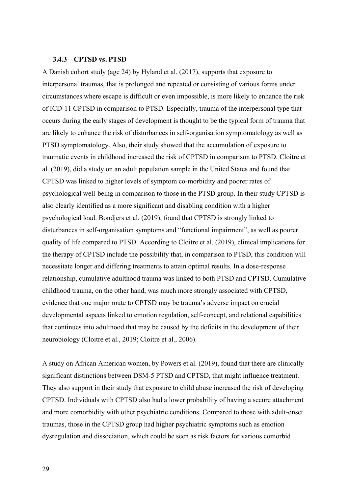#### **3.4.3 CPTSD vs. PTSD**

A Danish cohort study (age 24) by Hyland et al. (2017), supports that exposure to interpersonal traumas, that is prolonged and repeated or consisting of various forms under circumstances where escape is difficult or even impossible, is more likely to enhance the risk of ICD-11 CPTSD in comparison to PTSD. Especially, trauma of the interpersonal type that occurs during the early stages of development is thought to be the typical form of trauma that are likely to enhance the risk of disturbances in self-organisation symptomatology as well as PTSD symptomatology. Also, their study showed that the accumulation of exposure to traumatic events in childhood increased the risk of CPTSD in comparison to PTSD. Cloitre et al. (2019), did a study on an adult population sample in the United States and found that CPTSD was linked to higher levels of symptom co-morbidity and poorer rates of psychological well-being in comparison to those in the PTSD group. In their study CPTSD is also clearly identified as a more significant and disabling condition with a higher psychological load. Bondjers et al. (2019), found that CPTSD is strongly linked to disturbances in self-organisation symptoms and "functional impairment", as well as poorer quality of life compared to PTSD. According to Cloitre et al. (2019), clinical implications for the therapy of CPTSD include the possibility that, in comparison to PTSD, this condition will necessitate longer and differing treatments to attain optimal results. In a dose-response relationship, cumulative adulthood trauma was linked to both PTSD and CPTSD. Cumulative childhood trauma, on the other hand, was much more strongly associated with CPTSD, evidence that one major route to CPTSD may be trauma's adverse impact on crucial developmental aspects linked to emotion regulation, self-concept, and relational capabilities that continues into adulthood that may be caused by the deficits in the development of their neurobiology (Cloitre et al., 2019; Cloitre et al., 2006).

A study on African American women, by Powers et al. (2019), found that there are clinically significant distinctions between DSM-5 PTSD and CPTSD, that might influence treatment. They also support in their study that exposure to child abuse increased the risk of developing CPTSD. Individuals with CPTSD also had a lower probability of having a secure attachment and more comorbidity with other psychiatric conditions. Compared to those with adult-onset traumas, those in the CPTSD group had higher psychiatric symptoms such as emotion dysregulation and dissociation, which could be seen as risk factors for various comorbid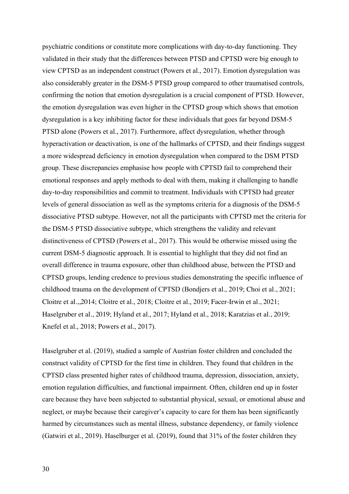psychiatric conditions or constitute more complications with day-to-day functioning. They validated in their study that the differences between PTSD and CPTSD were big enough to view CPTSD as an independent construct (Powers et al., 2017). Emotion dysregulation was also considerably greater in the DSM-5 PTSD group compared to other traumatised controls, confirming the notion that emotion dysregulation is a crucial component of PTSD. However, the emotion dysregulation was even higher in the CPTSD group which shows that emotion dysregulation is a key inhibiting factor for these individuals that goes far beyond DSM-5 PTSD alone (Powers et al., 2017). Furthermore, affect dysregulation, whether through hyperactivation or deactivation, is one of the hallmarks of CPTSD, and their findings suggest a more widespread deficiency in emotion dysregulation when compared to the DSM PTSD group. These discrepancies emphasise how people with CPTSD fail to comprehend their emotional responses and apply methods to deal with them, making it challenging to handle day-to-day responsibilities and commit to treatment. Individuals with CPTSD had greater levels of general dissociation as well as the symptoms criteria for a diagnosis of the DSM-5 dissociative PTSD subtype. However, not all the participants with CPTSD met the criteria for the DSM-5 PTSD dissociative subtype, which strengthens the validity and relevant distinctiveness of CPTSD (Powers et al., 2017). This would be otherwise missed using the current DSM-5 diagnostic approach. It is essential to highlight that they did not find an overall difference in trauma exposure, other than childhood abuse, between the PTSD and CPTSD groups, lending credence to previous studies demonstrating the specific influence of childhood trauma on the development of CPTSD (Bondjers et al., 2019; Choi et al., 2021; Cloitre et al.,,2014; Cloitre et al., 2018; Cloitre et al., 2019; Facer-Irwin et al., 2021; Haselgruber et al., 2019; Hyland et al., 2017; Hyland et al., 2018; Karatzias et al., 2019; Knefel et al., 2018; Powers et al., 2017).

Haselgruber et al. (2019), studied a sample of Austrian foster children and concluded the construct validity of CPTSD for the first time in children. They found that children in the CPTSD class presented higher rates of childhood trauma, depression, dissociation, anxiety, emotion regulation difficulties, and functional impairment. Often, children end up in foster care because they have been subjected to substantial physical, sexual, or emotional abuse and neglect, or maybe because their caregiver's capacity to care for them has been significantly harmed by circumstances such as mental illness, substance dependency, or family violence (Gatwiri et al., 2019). Haselburger et al. (2019), found that 31% of the foster children they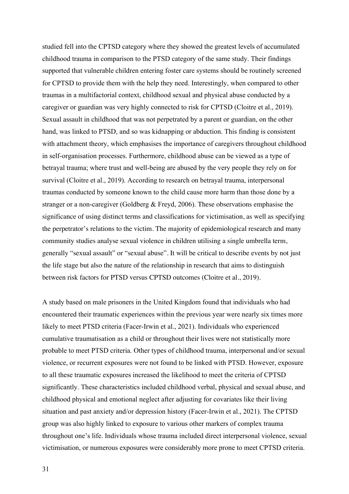studied fell into the CPTSD category where they showed the greatest levels of accumulated childhood trauma in comparison to the PTSD category of the same study. Their findings supported that vulnerable children entering foster care systems should be routinely screened for CPTSD to provide them with the help they need. Interestingly, when compared to other traumas in a multifactorial context, childhood sexual and physical abuse conducted by a caregiver or guardian was very highly connected to risk for CPTSD (Cloitre et al., 2019). Sexual assault in childhood that was not perpetrated by a parent or guardian, on the other hand, was linked to PTSD, and so was kidnapping or abduction. This finding is consistent with attachment theory, which emphasises the importance of caregivers throughout childhood in self-organisation processes. Furthermore, childhood abuse can be viewed as a type of betrayal trauma; where trust and well-being are abused by the very people they rely on for survival (Cloitre et al., 2019). According to research on betrayal trauma, interpersonal traumas conducted by someone known to the child cause more harm than those done by a stranger or a non-caregiver (Goldberg & Freyd, 2006). These observations emphasise the significance of using distinct terms and classifications for victimisation, as well as specifying the perpetrator's relations to the victim. The majority of epidemiological research and many community studies analyse sexual violence in children utilising a single umbrella term, generally "sexual assault" or "sexual abuse". It will be critical to describe events by not just the life stage but also the nature of the relationship in research that aims to distinguish between risk factors for PTSD versus CPTSD outcomes (Cloitre et al., 2019).

A study based on male prisoners in the United Kingdom found that individuals who had encountered their traumatic experiences within the previous year were nearly six times more likely to meet PTSD criteria (Facer-Irwin et al., 2021). Individuals who experienced cumulative traumatisation as a child or throughout their lives were not statistically more probable to meet PTSD criteria. Other types of childhood trauma, interpersonal and/or sexual violence, or recurrent exposures were not found to be linked with PTSD. However, exposure to all these traumatic exposures increased the likelihood to meet the criteria of CPTSD significantly. These characteristics included childhood verbal, physical and sexual abuse, and childhood physical and emotional neglect after adjusting for covariates like their living situation and past anxiety and/or depression history (Facer-Irwin et al., 2021). The CPTSD group was also highly linked to exposure to various other markers of complex trauma throughout one's life. Individuals whose trauma included direct interpersonal violence, sexual victimisation, or numerous exposures were considerably more prone to meet CPTSD criteria.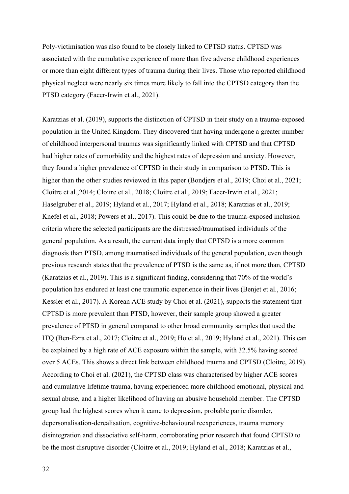Poly-victimisation was also found to be closely linked to CPTSD status. CPTSD was associated with the cumulative experience of more than five adverse childhood experiences or more than eight different types of trauma during their lives. Those who reported childhood physical neglect were nearly six times more likely to fall into the CPTSD category than the PTSD category (Facer-Irwin et al., 2021).

Karatzias et al. (2019), supports the distinction of CPTSD in their study on a trauma-exposed population in the United Kingdom. They discovered that having undergone a greater number of childhood interpersonal traumas was significantly linked with CPTSD and that CPTSD had higher rates of comorbidity and the highest rates of depression and anxiety. However, they found a higher prevalence of CPTSD in their study in comparison to PTSD. This is higher than the other studies reviewed in this paper (Bondjers et al., 2019; Choi et al., 2021; Cloitre et al.,2014; Cloitre et al., 2018; Cloitre et al., 2019; Facer-Irwin et al., 2021; Haselgruber et al., 2019; Hyland et al., 2017; Hyland et al., 2018; Karatzias et al., 2019; Knefel et al., 2018; Powers et al., 2017). This could be due to the trauma-exposed inclusion criteria where the selected participants are the distressed/traumatised individuals of the general population. As a result, the current data imply that CPTSD is a more common diagnosis than PTSD, among traumatised individuals of the general population, even though previous research states that the prevalence of PTSD is the same as, if not more than, CPTSD (Karatzias et al., 2019). This is a significant finding, considering that 70% of the world's population has endured at least one traumatic experience in their lives (Benjet et al., 2016; Kessler et al., 2017). A Korean ACE study by Choi et al. (2021), supports the statement that CPTSD is more prevalent than PTSD, however, their sample group showed a greater prevalence of PTSD in general compared to other broad community samples that used the ITQ (Ben-Ezra et al., 2017; Cloitre et al., 2019; Ho et al., 2019; Hyland et al., 2021). This can be explained by a high rate of ACE exposure within the sample, with 32.5% having scored over 5 ACEs. This shows a direct link between childhood trauma and CPTSD (Cloitre, 2019). According to Choi et al. (2021), the CPTSD class was characterised by higher ACE scores and cumulative lifetime trauma, having experienced more childhood emotional, physical and sexual abuse, and a higher likelihood of having an abusive household member. The CPTSD group had the highest scores when it came to depression, probable panic disorder, depersonalisation-derealisation, cognitive-behavioural reexperiences, trauma memory disintegration and dissociative self-harm, corroborating prior research that found CPTSD to be the most disruptive disorder (Cloitre et al., 2019; Hyland et al., 2018; Karatzias et al.,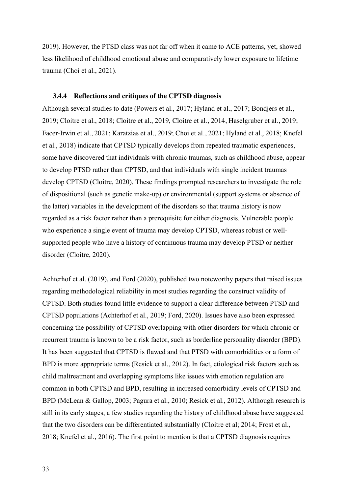2019). However, the PTSD class was not far off when it came to ACE patterns, yet, showed less likelihood of childhood emotional abuse and comparatively lower exposure to lifetime trauma (Choi et al., 2021).

#### **3.4.4 Reflections and critiques of the CPTSD diagnosis**

Although several studies to date (Powers et al., 2017; Hyland et al., 2017; Bondjers et al., 2019; Cloitre et al., 2018; Cloitre et al., 2019, Cloitre et al., 2014, Haselgruber et al., 2019; Facer-Irwin et al., 2021; Karatzias et al., 2019; Choi et al., 2021; Hyland et al., 2018; Knefel et al., 2018) indicate that CPTSD typically develops from repeated traumatic experiences, some have discovered that individuals with chronic traumas, such as childhood abuse, appear to develop PTSD rather than CPTSD, and that individuals with single incident traumas develop CPTSD (Cloitre, 2020). These findings prompted researchers to investigate the role of dispositional (such as genetic make-up) or environmental (support systems or absence of the latter) variables in the development of the disorders so that trauma history is now regarded as a risk factor rather than a prerequisite for either diagnosis. Vulnerable people who experience a single event of trauma may develop CPTSD, whereas robust or wellsupported people who have a history of continuous trauma may develop PTSD or neither disorder (Cloitre, 2020).

Achterhof et al. (2019), and Ford (2020), published two noteworthy papers that raised issues regarding methodological reliability in most studies regarding the construct validity of CPTSD. Both studies found little evidence to support a clear difference between PTSD and CPTSD populations (Achterhof et al., 2019; Ford, 2020). Issues have also been expressed concerning the possibility of CPTSD overlapping with other disorders for which chronic or recurrent trauma is known to be a risk factor, such as borderline personality disorder (BPD). It has been suggested that CPTSD is flawed and that PTSD with comorbidities or a form of BPD is more appropriate terms (Resick et al., 2012). In fact, etiological risk factors such as child maltreatment and overlapping symptoms like issues with emotion regulation are common in both CPTSD and BPD, resulting in increased comorbidity levels of CPTSD and BPD (McLean & Gallop, 2003; Pagura et al., 2010; Resick et al., 2012). Although research is still in its early stages, a few studies regarding the history of childhood abuse have suggested that the two disorders can be differentiated substantially (Cloitre et al; 2014; Frost et al., 2018; Knefel et al., 2016). The first point to mention is that a CPTSD diagnosis requires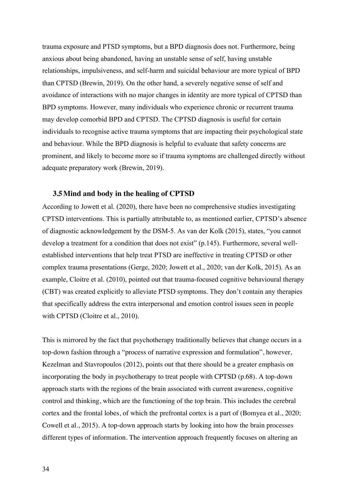trauma exposure and PTSD symptoms, but a BPD diagnosis does not. Furthermore, being anxious about being abandoned, having an unstable sense of self, having unstable relationships, impulsiveness, and self-harm and suicidal behaviour are more typical of BPD than CPTSD (Brewin, 2019). On the other hand, a severely negative sense of self and avoidance of interactions with no major changes in identity are more typical of CPTSD than BPD symptoms. However, many individuals who experience chronic or recurrent trauma may develop comorbid BPD and CPTSD. The CPTSD diagnosis is useful for certain individuals to recognise active trauma symptoms that are impacting their psychological state and behaviour. While the BPD diagnosis is helpful to evaluate that safety concerns are prominent, and likely to become more so if trauma symptoms are challenged directly without adequate preparatory work (Brewin, 2019).

#### **3.5Mind and body in the healing of CPTSD**

According to Jowett et al. (2020), there have been no comprehensive studies investigating CPTSD interventions. This is partially attributable to, as mentioned earlier, CPTSD's absence of diagnostic acknowledgement by the DSM-5. As van der Kolk (2015), states, "you cannot develop a treatment for a condition that does not exist" (p.145). Furthermore, several wellestablished interventions that help treat PTSD are ineffective in treating CPTSD or other complex trauma presentations (Gerge, 2020; Jowett et al., 2020; van der Kolk, 2015). As an example, Cloitre et al. (2010), pointed out that trauma-focused cognitive behavioural therapy (CBT) was created explicitly to alleviate PTSD symptoms. They don't contain any therapies that specifically address the extra interpersonal and emotion control issues seen in people with CPTSD (Cloitre et al., 2010).

This is mirrored by the fact that psychotherapy traditionally believes that change occurs in a top-down fashion through a "process of narrative expression and formulation", however, Kezelman and Stavropoulos (2012), points out that there should be a greater emphasis on incorporating the body in psychotherapy to treat people with CPTSD (p.68). A top-down approach starts with the regions of the brain associated with current awareness, cognitive control and thinking, which are the functioning of the top brain. This includes the cerebral cortex and the frontal lobes, of which the prefrontal cortex is a part of (Bomyea et al., 2020; Cowell et al., 2015). A top-down approach starts by looking into how the brain processes different types of information. The intervention approach frequently focuses on altering an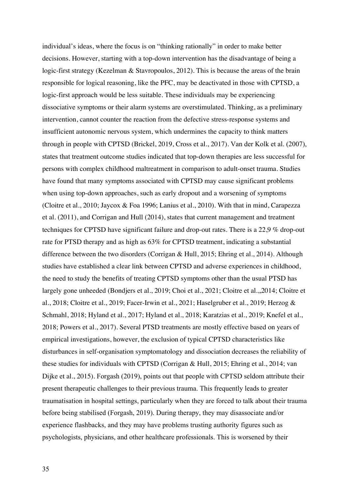individual's ideas, where the focus is on "thinking rationally" in order to make better decisions. However, starting with a top-down intervention has the disadvantage of being a logic-first strategy (Kezelman & Stavropoulos, 2012). This is because the areas of the brain responsible for logical reasoning, like the PFC, may be deactivated in those with CPTSD, a logic-first approach would be less suitable. These individuals may be experiencing dissociative symptoms or their alarm systems are overstimulated. Thinking, as a preliminary intervention, cannot counter the reaction from the defective stress-response systems and insufficient autonomic nervous system, which undermines the capacity to think matters through in people with CPTSD (Brickel, 2019, Cross et al., 2017). Van der Kolk et al. (2007), states that treatment outcome studies indicated that top-down therapies are less successful for persons with complex childhood maltreatment in comparison to adult-onset trauma. Studies have found that many symptoms associated with CPTSD may cause significant problems when using top-down approaches, such as early dropout and a worsening of symptoms (Cloitre et al., 2010; Jaycox & Foa 1996; Lanius et al., 2010). With that in mind, Carapezza et al. (2011), and Corrigan and Hull (2014), states that current management and treatment techniques for CPTSD have significant failure and drop-out rates. There is a 22,9 % drop-out rate for PTSD therapy and as high as 63% for CPTSD treatment, indicating a substantial difference between the two disorders (Corrigan & Hull, 2015; Ehring et al., 2014). Although studies have established a clear link between CPTSD and adverse experiences in childhood, the need to study the benefits of treating CPTSD symptoms other than the usual PTSD has largely gone unheeded (Bondjers et al., 2019; Choi et al., 2021; Cloitre et al.,,2014; Cloitre et al., 2018; Cloitre et al., 2019; Facer-Irwin et al., 2021; Haselgruber et al., 2019; Herzog & Schmahl, 2018; Hyland et al., 2017; Hyland et al., 2018; Karatzias et al., 2019; Knefel et al., 2018; Powers et al., 2017). Several PTSD treatments are mostly effective based on years of empirical investigations, however, the exclusion of typical CPTSD characteristics like disturbances in self-organisation symptomatology and dissociation decreases the reliability of these studies for individuals with CPTSD (Corrigan  $& Hull$ , 2015; Ehring et al., 2014; van Dijke et al., 2015). Forgash (2019), points out that people with CPTSD seldom attribute their present therapeutic challenges to their previous trauma. This frequently leads to greater traumatisation in hospital settings, particularly when they are forced to talk about their trauma before being stabilised (Forgash, 2019). During therapy, they may disassociate and/or experience flashbacks, and they may have problems trusting authority figures such as psychologists, physicians, and other healthcare professionals. This is worsened by their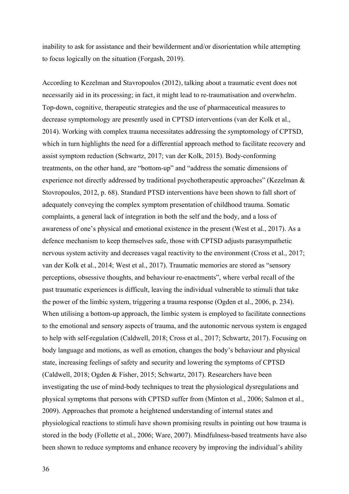inability to ask for assistance and their bewilderment and/or disorientation while attempting to focus logically on the situation (Forgash, 2019).

According to Kezelman and Stavropoulos (2012), talking about a traumatic event does not necessarily aid in its processing; in fact, it might lead to re-traumatisation and overwhelm. Top-down, cognitive, therapeutic strategies and the use of pharmaceutical measures to decrease symptomology are presently used in CPTSD interventions (van der Kolk et al., 2014). Working with complex trauma necessitates addressing the symptomology of CPTSD, which in turn highlights the need for a differential approach method to facilitate recovery and assist symptom reduction (Schwartz, 2017; van der Kolk, 2015). Body-conforming treatments, on the other hand, are "bottom-up" and "address the somatic dimensions of experience not directly addressed by traditional psychotherapeutic approaches" (Kezelman & Stovropoulos, 2012, p. 68). Standard PTSD interventions have been shown to fall short of adequately conveying the complex symptom presentation of childhood trauma. Somatic complaints, a general lack of integration in both the self and the body, and a loss of awareness of one's physical and emotional existence in the present (West et al., 2017). As a defence mechanism to keep themselves safe, those with CPTSD adjusts parasympathetic nervous system activity and decreases vagal reactivity to the environment (Cross et al., 2017; van der Kolk et al., 2014; West et al., 2017). Traumatic memories are stored as "sensory perceptions, obsessive thoughts, and behaviour re-enactments", where verbal recall of the past traumatic experiences is difficult, leaving the individual vulnerable to stimuli that take the power of the limbic system, triggering a trauma response (Ogden et al., 2006, p. 234). When utilising a bottom-up approach, the limbic system is employed to facilitate connections to the emotional and sensory aspects of trauma, and the autonomic nervous system is engaged to help with self-regulation (Caldwell, 2018; Cross et al., 2017; Schwartz, 2017). Focusing on body language and motions, as well as emotion, changes the body's behaviour and physical state, increasing feelings of safety and security and lowering the symptoms of CPTSD (Caldwell, 2018; Ogden & Fisher, 2015; Schwartz, 2017). Researchers have been investigating the use of mind-body techniques to treat the physiological dysregulations and physical symptoms that persons with CPTSD suffer from (Minton et al., 2006; Salmon et al., 2009). Approaches that promote a heightened understanding of internal states and physiological reactions to stimuli have shown promising results in pointing out how trauma is stored in the body (Follette et al., 2006; Ware, 2007). Mindfulness-based treatments have also been shown to reduce symptoms and enhance recovery by improving the individual's ability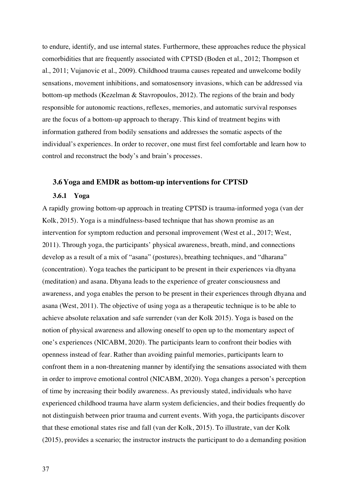to endure, identify, and use internal states. Furthermore, these approaches reduce the physical comorbidities that are frequently associated with CPTSD (Boden et al., 2012; Thompson et al., 2011; Vujanovic et al., 2009). Childhood trauma causes repeated and unwelcome bodily sensations, movement inhibitions, and somatosensory invasions, which can be addressed via bottom-up methods (Kezelman & Stavropoulos, 2012). The regions of the brain and body responsible for autonomic reactions, reflexes, memories, and automatic survival responses are the focus of a bottom-up approach to therapy. This kind of treatment begins with information gathered from bodily sensations and addresses the somatic aspects of the individual's experiences. In order to recover, one must first feel comfortable and learn how to control and reconstruct the body's and brain's processes.

#### **3.6Yoga and EMDR as bottom-up interventions for CPTSD**

#### **3.6.1 Yoga**

A rapidly growing bottom-up approach in treating CPTSD is trauma-informed yoga (van der Kolk, 2015). Yoga is a mindfulness-based technique that has shown promise as an intervention for symptom reduction and personal improvement (West et al., 2017; West, 2011). Through yoga, the participants' physical awareness, breath, mind, and connections develop as a result of a mix of "asana" (postures), breathing techniques, and "dharana" (concentration). Yoga teaches the participant to be present in their experiences via dhyana (meditation) and asana. Dhyana leads to the experience of greater consciousness and awareness, and yoga enables the person to be present in their experiences through dhyana and asana (West, 2011). The objective of using yoga as a therapeutic technique is to be able to achieve absolute relaxation and safe surrender (van der Kolk 2015). Yoga is based on the notion of physical awareness and allowing oneself to open up to the momentary aspect of one's experiences (NICABM, 2020). The participants learn to confront their bodies with openness instead of fear. Rather than avoiding painful memories, participants learn to confront them in a non-threatening manner by identifying the sensations associated with them in order to improve emotional control (NICABM, 2020). Yoga changes a person's perception of time by increasing their bodily awareness. As previously stated, individuals who have experienced childhood trauma have alarm system deficiencies, and their bodies frequently do not distinguish between prior trauma and current events. With yoga, the participants discover that these emotional states rise and fall (van der Kolk, 2015). To illustrate, van der Kolk (2015), provides a scenario; the instructor instructs the participant to do a demanding position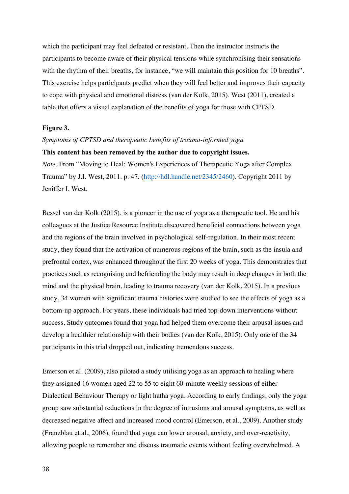which the participant may feel defeated or resistant. Then the instructor instructs the participants to become aware of their physical tensions while synchronising their sensations with the rhythm of their breaths, for instance, "we will maintain this position for 10 breaths". This exercise helps participants predict when they will feel better and improves their capacity to cope with physical and emotional distress (van der Kolk, 2015). West (2011), created a table that offers a visual explanation of the benefits of yoga for those with CPTSD.

#### **Figure 3.**

#### *Symptoms of CPTSD and therapeutic benefits of trauma-informed yoga*

#### **This content has been removed by the author due to copyright issues.**

*Note.* From "Moving to Heal: Women's Experiences of Therapeutic Yoga after Complex Trauma" by J.I. West, 2011. p. 47. (http://hdl.handle.net/2345/2460). Copyright 2011 by Jeniffer I. West.

Bessel van der Kolk (2015), is a pioneer in the use of yoga as a therapeutic tool. He and his colleagues at the Justice Resource Institute discovered beneficial connections between yoga and the regions of the brain involved in psychological self-regulation. In their most recent study, they found that the activation of numerous regions of the brain, such as the insula and prefrontal cortex, was enhanced throughout the first 20 weeks of yoga. This demonstrates that practices such as recognising and befriending the body may result in deep changes in both the mind and the physical brain, leading to trauma recovery (van der Kolk, 2015). In a previous study, 34 women with significant trauma histories were studied to see the effects of yoga as a bottom-up approach. For years, these individuals had tried top-down interventions without success. Study outcomes found that yoga had helped them overcome their arousal issues and develop a healthier relationship with their bodies (van der Kolk, 2015). Only one of the 34 participants in this trial dropped out, indicating tremendous success.

Emerson et al. (2009), also piloted a study utilising yoga as an approach to healing where they assigned 16 women aged 22 to 55 to eight 60-minute weekly sessions of either Dialectical Behaviour Therapy or light hatha yoga. According to early findings, only the yoga group saw substantial reductions in the degree of intrusions and arousal symptoms, as well as decreased negative affect and increased mood control (Emerson, et al., 2009). Another study (Franzblau et al., 2006), found that yoga can lower arousal, anxiety, and over-reactivity, allowing people to remember and discuss traumatic events without feeling overwhelmed. A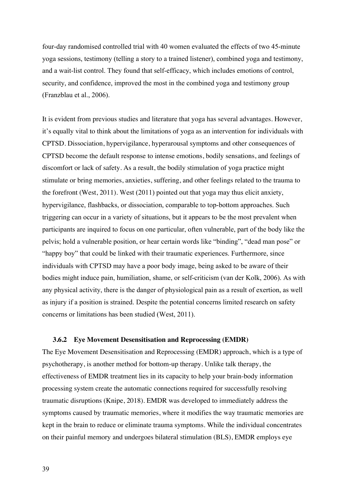four-day randomised controlled trial with 40 women evaluated the effects of two 45-minute yoga sessions, testimony (telling a story to a trained listener), combined yoga and testimony, and a wait-list control. They found that self-efficacy, which includes emotions of control, security, and confidence, improved the most in the combined yoga and testimony group (Franzblau et al., 2006).

It is evident from previous studies and literature that yoga has several advantages. However, it's equally vital to think about the limitations of yoga as an intervention for individuals with CPTSD. Dissociation, hypervigilance, hyperarousal symptoms and other consequences of CPTSD become the default response to intense emotions, bodily sensations, and feelings of discomfort or lack of safety. As a result, the bodily stimulation of yoga practice might stimulate or bring memories, anxieties, suffering, and other feelings related to the trauma to the forefront (West, 2011). West (2011) pointed out that yoga may thus elicit anxiety, hypervigilance, flashbacks, or dissociation, comparable to top-bottom approaches. Such triggering can occur in a variety of situations, but it appears to be the most prevalent when participants are inquired to focus on one particular, often vulnerable, part of the body like the pelvis; hold a vulnerable position, or hear certain words like "binding", "dead man pose" or "happy boy" that could be linked with their traumatic experiences. Furthermore, since individuals with CPTSD may have a poor body image, being asked to be aware of their bodies might induce pain, humiliation, shame, or self-criticism (van der Kolk, 2006). As with any physical activity, there is the danger of physiological pain as a result of exertion, as well as injury if a position is strained. Despite the potential concerns limited research on safety concerns or limitations has been studied (West, 2011).

#### **3.6.2 Eye Movement Desensitisation and Reprocessing (EMDR)**

The Eye Movement Desensitisation and Reprocessing (EMDR) approach, which is a type of psychotherapy, is another method for bottom-up therapy. Unlike talk therapy, the effectiveness of EMDR treatment lies in its capacity to help your brain-body information processing system create the automatic connections required for successfully resolving traumatic disruptions (Knipe, 2018). EMDR was developed to immediately address the symptoms caused by traumatic memories, where it modifies the way traumatic memories are kept in the brain to reduce or eliminate trauma symptoms. While the individual concentrates on their painful memory and undergoes bilateral stimulation (BLS), EMDR employs eye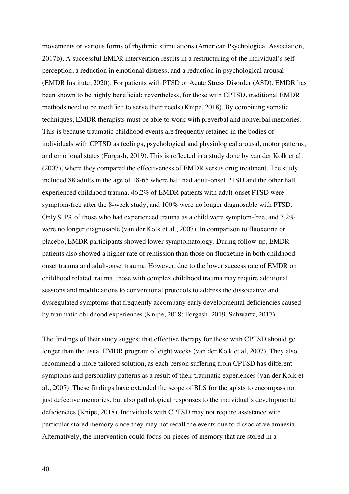movements or various forms of rhythmic stimulations (American Psychological Association, 2017b). A successful EMDR intervention results in a restructuring of the individual's selfperception, a reduction in emotional distress, and a reduction in psychological arousal (EMDR Institute, 2020). For patients with PTSD or Acute Stress Disorder (ASD), EMDR has been shown to be highly beneficial; nevertheless, for those with CPTSD, traditional EMDR methods need to be modified to serve their needs (Knipe, 2018). By combining somatic techniques, EMDR therapists must be able to work with preverbal and nonverbal memories. This is because traumatic childhood events are frequently retained in the bodies of individuals with CPTSD as feelings, psychological and physiological arousal, motor patterns, and emotional states (Forgash, 2019). This is reflected in a study done by van der Kolk et al. (2007), where they compared the effectiveness of EMDR versus drug treatment. The study included 88 adults in the age of 18-65 where half had adult-onset PTSD and the other half experienced childhood trauma. 46,2% of EMDR patients with adult-onset PTSD were symptom-free after the 8-week study, and 100% were no longer diagnosable with PTSD. Only 9,1% of those who had experienced trauma as a child were symptom-free, and  $7.2\%$ were no longer diagnosable (van der Kolk et al., 2007). In comparison to fluoxetine or placebo, EMDR participants showed lower symptomatology. During follow-up, EMDR patients also showed a higher rate of remission than those on fluoxetine in both childhoodonset trauma and adult-onset trauma. However, due to the lower success rate of EMDR on childhood related trauma, those with complex childhood trauma may require additional sessions and modifications to conventional protocols to address the dissociative and dysregulated symptoms that frequently accompany early developmental deficiencies caused by traumatic childhood experiences (Knipe, 2018; Forgash, 2019, Schwartz, 2017).

The findings of their study suggest that effective therapy for those with CPTSD should go longer than the usual EMDR program of eight weeks (van der Kolk et al, 2007). They also recommend a more tailored solution, as each person suffering from CPTSD has different symptoms and personality patterns as a result of their traumatic experiences (van der Kolk et al., 2007). These findings have extended the scope of BLS for therapists to encompass not just defective memories, but also pathological responses to the individual's developmental deficiencies (Knipe, 2018). Individuals with CPTSD may not require assistance with particular stored memory since they may not recall the events due to dissociative amnesia. Alternatively, the intervention could focus on pieces of memory that are stored in a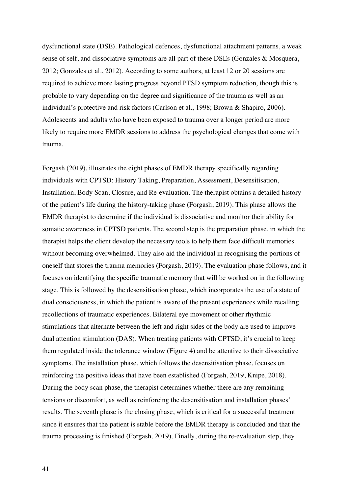dysfunctional state (DSE). Pathological defences, dysfunctional attachment patterns, a weak sense of self, and dissociative symptoms are all part of these DSEs (Gonzales & Mosquera, 2012; Gonzales et al., 2012). According to some authors, at least 12 or 20 sessions are required to achieve more lasting progress beyond PTSD symptom reduction, though this is probable to vary depending on the degree and significance of the trauma as well as an individual's protective and risk factors (Carlson et al., 1998; Brown & Shapiro, 2006). Adolescents and adults who have been exposed to trauma over a longer period are more likely to require more EMDR sessions to address the psychological changes that come with trauma.

Forgash (2019), illustrates the eight phases of EMDR therapy specifically regarding individuals with CPTSD: History Taking, Preparation, Assessment, Desensitisation, Installation, Body Scan, Closure, and Re-evaluation. The therapist obtains a detailed history of the patient's life during the history-taking phase (Forgash, 2019). This phase allows the EMDR therapist to determine if the individual is dissociative and monitor their ability for somatic awareness in CPTSD patients. The second step is the preparation phase, in which the therapist helps the client develop the necessary tools to help them face difficult memories without becoming overwhelmed. They also aid the individual in recognising the portions of oneself that stores the trauma memories (Forgash, 2019). The evaluation phase follows, and it focuses on identifying the specific traumatic memory that will be worked on in the following stage. This is followed by the desensitisation phase, which incorporates the use of a state of dual consciousness, in which the patient is aware of the present experiences while recalling recollections of traumatic experiences. Bilateral eye movement or other rhythmic stimulations that alternate between the left and right sides of the body are used to improve dual attention stimulation (DAS). When treating patients with CPTSD, it's crucial to keep them regulated inside the tolerance window (Figure 4) and be attentive to their dissociative symptoms. The installation phase, which follows the desensitisation phase, focuses on reinforcing the positive ideas that have been established (Forgash, 2019, Knipe, 2018). During the body scan phase, the therapist determines whether there are any remaining tensions or discomfort, as well as reinforcing the desensitisation and installation phases' results. The seventh phase is the closing phase, which is critical for a successful treatment since it ensures that the patient is stable before the EMDR therapy is concluded and that the trauma processing is finished (Forgash, 2019). Finally, during the re-evaluation step, they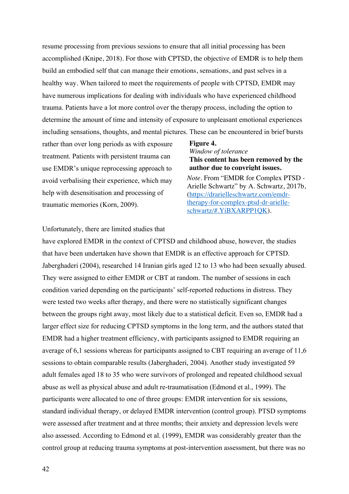resume processing from previous sessions to ensure that all initial processing has been accomplished (Knipe, 2018). For those with CPTSD, the objective of EMDR is to help them build an embodied self that can manage their emotions, sensations, and past selves in a healthy way. When tailored to meet the requirements of people with CPTSD, EMDR may have numerous implications for dealing with individuals who have experienced childhood trauma. Patients have a lot more control over the therapy process, including the option to determine the amount of time and intensity of exposure to unpleasant emotional experiences including sensations, thoughts, and mental pictures. These can be encountered in brief bursts

rather than over long periods as with exposure treatment. Patients with persistent trauma can use EMDR's unique reprocessing approach to avoid verbalising their experience, which may help with desensitisation and processing of traumatic memories (Korn, 2009).

#### **Figure 4.**  *Window of tolerance*

**This content has been removed by the author due to copyright issues.**

*Note.* From "EMDR for Complex PTSD - Arielle Schwartz" by A. Schwartz, 2017b, (https://drarielleschwartz.com/emdrtherapy-for-complex-ptsd-dr-arielleschwartz/#.YiBXARPP1QK).

### Unfortunately, there are limited studies that

have explored EMDR in the context of CPTSD and childhood abuse, however, the studies that have been undertaken have shown that EMDR is an effective approach for CPTSD. Jaberghaderi (2004), researched 14 Iranian girls aged 12 to 13 who had been sexually abused. They were assigned to either EMDR or CBT at random. The number of sessions in each condition varied depending on the participants' self-reported reductions in distress. They were tested two weeks after therapy, and there were no statistically significant changes between the groups right away, most likely due to a statistical deficit. Even so, EMDR had a larger effect size for reducing CPTSD symptoms in the long term, and the authors stated that EMDR had a higher treatment efficiency, with participants assigned to EMDR requiring an average of 6,1 sessions whereas for participants assigned to CBT requiring an average of 11,6 sessions to obtain comparable results (Jaberghaderi, 2004). Another study investigated 59 adult females aged 18 to 35 who were survivors of prolonged and repeated childhood sexual abuse as well as physical abuse and adult re-traumatisation (Edmond et al., 1999). The participants were allocated to one of three groups: EMDR intervention for six sessions, standard individual therapy, or delayed EMDR intervention (control group). PTSD symptoms were assessed after treatment and at three months; their anxiety and depression levels were also assessed. According to Edmond et al. (1999), EMDR was considerably greater than the control group at reducing trauma symptoms at post-intervention assessment, but there was no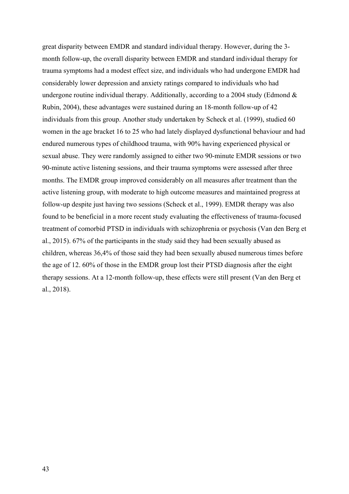great disparity between EMDR and standard individual therapy. However, during the 3 month follow-up, the overall disparity between EMDR and standard individual therapy for trauma symptoms had a modest effect size, and individuals who had undergone EMDR had considerably lower depression and anxiety ratings compared to individuals who had undergone routine individual therapy. Additionally, according to a 2004 study (Edmond  $\&$ Rubin, 2004), these advantages were sustained during an 18-month follow-up of 42 individuals from this group. Another study undertaken by Scheck et al. (1999), studied 60 women in the age bracket 16 to 25 who had lately displayed dysfunctional behaviour and had endured numerous types of childhood trauma, with 90% having experienced physical or sexual abuse. They were randomly assigned to either two 90-minute EMDR sessions or two 90-minute active listening sessions, and their trauma symptoms were assessed after three months. The EMDR group improved considerably on all measures after treatment than the active listening group, with moderate to high outcome measures and maintained progress at follow-up despite just having two sessions (Scheck et al., 1999). EMDR therapy was also found to be beneficial in a more recent study evaluating the effectiveness of trauma-focused treatment of comorbid PTSD in individuals with schizophrenia or psychosis (Van den Berg et al., 2015). 67% of the participants in the study said they had been sexually abused as children, whereas 36,4% of those said they had been sexually abused numerous times before the age of 12. 60% of those in the EMDR group lost their PTSD diagnosis after the eight therapy sessions. At a 12-month follow-up, these effects were still present (Van den Berg et al., 2018).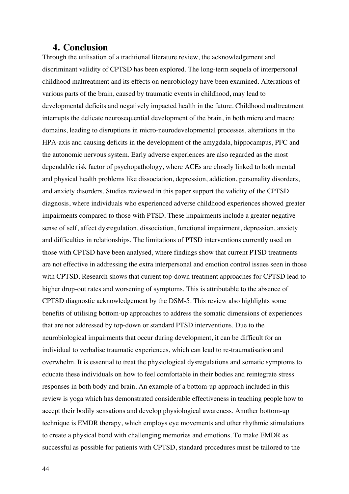## **4. Conclusion**

Through the utilisation of a traditional literature review, the acknowledgement and discriminant validity of CPTSD has been explored. The long-term sequela of interpersonal childhood maltreatment and its effects on neurobiology have been examined. Alterations of various parts of the brain, caused by traumatic events in childhood, may lead to developmental deficits and negatively impacted health in the future. Childhood maltreatment interrupts the delicate neurosequential development of the brain, in both micro and macro domains, leading to disruptions in micro-neurodevelopmental processes, alterations in the HPA-axis and causing deficits in the development of the amygdala, hippocampus, PFC and the autonomic nervous system. Early adverse experiences are also regarded as the most dependable risk factor of psychopathology, where ACEs are closely linked to both mental and physical health problems like dissociation, depression, addiction, personality disorders, and anxiety disorders. Studies reviewed in this paper support the validity of the CPTSD diagnosis, where individuals who experienced adverse childhood experiences showed greater impairments compared to those with PTSD. These impairments include a greater negative sense of self, affect dysregulation, dissociation, functional impairment, depression, anxiety and difficulties in relationships. The limitations of PTSD interventions currently used on those with CPTSD have been analysed, where findings show that current PTSD treatments are not effective in addressing the extra interpersonal and emotion control issues seen in those with CPTSD. Research shows that current top-down treatment approaches for CPTSD lead to higher drop-out rates and worsening of symptoms. This is attributable to the absence of CPTSD diagnostic acknowledgement by the DSM-5. This review also highlights some benefits of utilising bottom-up approaches to address the somatic dimensions of experiences that are not addressed by top-down or standard PTSD interventions. Due to the neurobiological impairments that occur during development, it can be difficult for an individual to verbalise traumatic experiences, which can lead to re-traumatisation and overwhelm. It is essential to treat the physiological dysregulations and somatic symptoms to educate these individuals on how to feel comfortable in their bodies and reintegrate stress responses in both body and brain. An example of a bottom-up approach included in this review is yoga which has demonstrated considerable effectiveness in teaching people how to accept their bodily sensations and develop physiological awareness. Another bottom-up technique is EMDR therapy, which employs eye movements and other rhythmic stimulations to create a physical bond with challenging memories and emotions. To make EMDR as successful as possible for patients with CPTSD, standard procedures must be tailored to the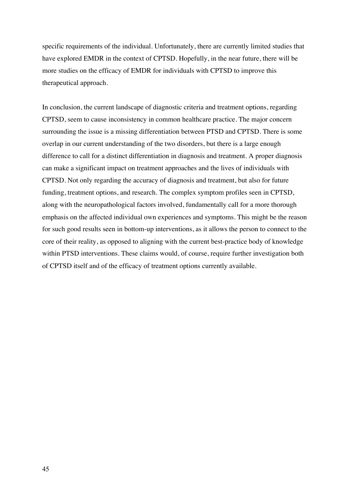specific requirements of the individual. Unfortunately, there are currently limited studies that have explored EMDR in the context of CPTSD. Hopefully, in the near future, there will be more studies on the efficacy of EMDR for individuals with CPTSD to improve this therapeutical approach.

In conclusion, the current landscape of diagnostic criteria and treatment options, regarding CPTSD, seem to cause inconsistency in common healthcare practice. The major concern surrounding the issue is a missing differentiation between PTSD and CPTSD. There is some overlap in our current understanding of the two disorders, but there is a large enough difference to call for a distinct differentiation in diagnosis and treatment. A proper diagnosis can make a significant impact on treatment approaches and the lives of individuals with CPTSD. Not only regarding the accuracy of diagnosis and treatment, but also for future funding, treatment options, and research. The complex symptom profiles seen in CPTSD, along with the neuropathological factors involved, fundamentally call for a more thorough emphasis on the affected individual own experiences and symptoms. This might be the reason for such good results seen in bottom-up interventions, as it allows the person to connect to the core of their reality, as opposed to aligning with the current best-practice body of knowledge within PTSD interventions. These claims would, of course, require further investigation both of CPTSD itself and of the efficacy of treatment options currently available.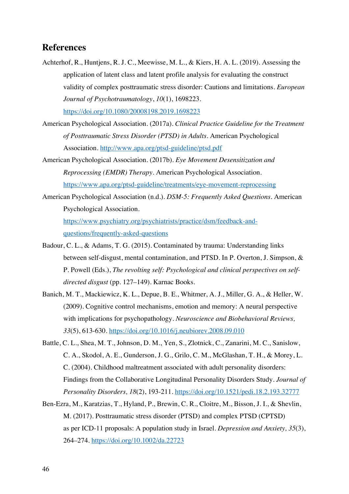## **References**

- Achterhof, R., Huntjens, R. J. C., Meewisse, M. L., & Kiers, H. A. L. (2019). Assessing the application of latent class and latent profile analysis for evaluating the construct validity of complex posttraumatic stress disorder: Cautions and limitations. *European Journal of Psychotraumatology*, *10*(1), 1698223. https://doi.org/10.1080/20008198.2019.1698223
- American Psychological Association. (2017a). *Clinical Practice Guideline for the Treatment of Posttraumatic Stress Disorder (PTSD) in Adults*. American Psychological Association. http://www.apa.org/ptsd-guideline/ptsd.pdf
- American Psychological Association. (2017b). *Eye Movement Desensitization and Reprocessing (EMDR) Therapy.* American Psychological Association. https://www.apa.org/ptsd-guideline/treatments/eye-movement-reprocessing
- American Psychological Association (n.d.). *DSM-5: Frequently Asked Questions.* American Psychological Association. https://www.psychiatry.org/psychiatrists/practice/dsm/feedback-and-

questions/frequently-asked-questions

- Badour, C. L., & Adams, T. G. (2015). Contaminated by trauma: Understanding links between self-disgust, mental contamination, and PTSD. In P. Overton, J. Simpson, & P. Powell (Eds.), *The revolting self: Psychological and clinical perspectives on selfdirected disgust* (pp. 127–149). Karnac Books.
- Banich, M. T., Mackiewicz, K. L., Depue, B. E., Whitmer, A. J., Miller, G. A., & Heller, W. (2009). Cognitive control mechanisms, emotion and memory: A neural perspective with implications for psychopathology. *Neuroscience and Biobehavioral Reviews, 33*(5), 613-630. https://doi.org/10.1016/j.neubiorev.2008.09.010
- Battle, C. L., Shea, M. T., Johnson, D. M., Yen, S., Zlotnick, C., Zanarini, M. C., Sanislow, C. A., Skodol, A. E., Gunderson, J. G., Grilo, C. M., McGlashan, T. H., & Morey, L. C. (2004). Childhood maltreatment associated with adult personality disorders: Findings from the Collaborative Longitudinal Personality Disorders Study. *Journal of Personality Disorders, 18*(2), 193-211. https://doi.org/10.1521/pedi.18.2.193.32777
- Ben-Ezra, M., Karatzias, T., Hyland, P., Brewin, C. R., Cloitre, M., Bisson, J. I., & Shevlin, M. (2017). Posttraumatic stress disorder (PTSD) and complex PTSD (CPTSD) as per ICD-11 proposals: A population study in Israel. *Depression and Anxiety, 35*(3), 264–274. https://doi.org/10.1002/da.22723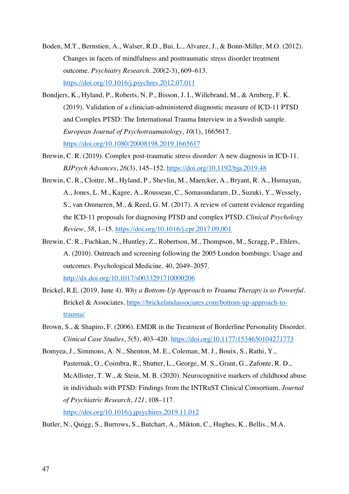- Boden, M.T., Bernstien, A., Walser, R.D., Bui, L., Alvarez, J., & Bonn-Miller, M.O. (2012). Changes in facets of mindfulness and posttraumatic stress disorder treatment outcome. *Psychiatry Research. 200*(2-3), 609–613. https://doi.org/10.1016/j.psychres.2012.07.011
- Bondjers, K., Hyland, P., Roberts, N. P., Bisson, J. I., Willebrand, M., & Arnberg, F. K. (2019). Validation of a clinician-administered diagnostic measure of ICD-11 PTSD and Complex PTSD: The International Trauma Interview in a Swedish sample. *European Journal of Psychotraumatology*, *10*(1), 1665617. https://doi.org/10.1080/20008198.2019.1665617
- Brewin, C. R. (2019). Complex post-traumatic stress disorder: A new diagnosis in ICD-11. *BJPsych Advances*, *26*(3), 145–152. https://doi.org/10.1192/bja.2019.48
- Brewin, C. R., Cloitre, M., Hyland, P., Shevlin, M., Maercker, A., Bryant, R. A., Humayun, A., Jones, L. M., Kagee, A., Rousseau, C., Somasundaram, D., Suzuki, Y., Wessely, S., van Ommeren, M., & Reed, G. M. (2017). A review of current evidence regarding the ICD-11 proposals for diagnosing PTSD and complex PTSD. *Clinical Psychology Review*, *58*, 1–15. https://doi.org/10.1016/j.cpr.2017.09.001
- Brewin, C. R., Fuchkan, N., Huntley, Z., Robertson, M., Thompson, M., Scragg, P., Ehlers, A. (2010). Outreach and screening following the 2005 London bombings: Usage and outcomes. Psychological Medicine, 40, 2049–2057. http://dx.doi.org/10.1017/s0033291710000206
- Brickel, R.E. (2019, June 4). *Why a Bottom-Up Approach to Trauma Therapy is so Powerful.*  Brickel & Associates. https://brickelandassociates.com/bottom-up-approach-totrauma/
- Brown, S., & Shapiro, F. (2006). EMDR in the Treatment of Borderline Personality Disorder. *Clinical Case Studies*, *5*(5), 403–420. https://doi.org/10.1177/1534650104271773
- Bomyea, J., Simmons, A. N., Shenton, M. E., Coleman, M. J., Bouix, S., Rathi, Y., Pasternak, O., Coimbra, R., Shutter, L., George, M. S., Grant, G., Zafonte, R. D., McAllister, T. W., & Stein, M. B. (2020). Neurocognitive markers of childhood abuse in individuals with PTSD: Findings from the INTRuST Clinical Consortium. *Journal of Psychiatric Research*, *121*, 108–117. https://doi.org/10.1016/j.jpsychires.2019.11.012

Butler, N., Quigg, S., Burrows, S., Butchart, A., Mikton, C., Hughes, K., Bellis., M.A.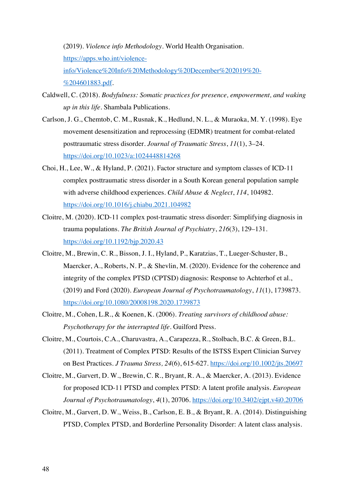(2019). *Violence info Methodology.* World Health Organisation. https://apps.who.int/violenceinfo/Violence%20Info%20Methodology%20December%202019%20- %204601883.pdf.

- Caldwell, C. (2018). *Bodyfulness: Somatic practices for presence, empowerment, and waking up in this life*. Shambala Publications.
- Carlson, J. G., Chemtob, C. M., Rusnak, K., Hedlund, N. L., & Muraoka, M. Y. (1998). Eye movement desensitization and reprocessing (EDMR) treatment for combat-related posttraumatic stress disorder. *Journal of Traumatic Stress*, *11*(1), 3–24. https://doi.org/10.1023/a:1024448814268
- Choi, H., Lee, W., & Hyland, P. (2021). Factor structure and symptom classes of ICD-11 complex posttraumatic stress disorder in a South Korean general population sample with adverse childhood experiences. *Child Abuse & Neglect*, *114*, 104982. https://doi.org/10.1016/j.chiabu.2021.104982
- Cloitre, M. (2020). ICD-11 complex post-traumatic stress disorder: Simplifying diagnosis in trauma populations. *The British Journal of Psychiatry*, *216*(3), 129–131. https://doi.org/10.1192/bjp.2020.43
- Cloitre, M., Brewin, C. R., Bisson, J. I., Hyland, P., Karatzias, T., Lueger-Schuster, B., Maercker, A., Roberts, N. P., & Shevlin, M. (2020). Evidence for the coherence and integrity of the complex PTSD (CPTSD) diagnosis: Response to Achterhof et al., (2019) and Ford (2020). *European Journal of Psychotraumatology*, *11*(1), 1739873. https://doi.org/10.1080/20008198.2020.1739873
- Cloitre, M., Cohen, L.R., & Koenen, K. (2006). *Treating survivors of childhood abuse: Psychotherapy for the interrupted life*. Guilford Press.
- Cloitre, M., Courtois, C.A., Charuvastra, A., Carapezza, R., Stolbach, B.C. & Green, B.L. (2011). Treatment of Complex PTSD: Results of the ISTSS Expert Clinician Survey on Best Practices. *J Trauma Stress, 24*(6), 615-627. https://doi.org/10.1002/jts.20697
- Cloitre, M., Garvert, D. W., Brewin, C. R., Bryant, R. A., & Maercker, A. (2013). Evidence for proposed ICD-11 PTSD and complex PTSD: A latent profile analysis. *European Journal of Psychotraumatology*, *4*(1), 20706. https://doi.org/10.3402/ejpt.v4i0.20706
- Cloitre, M., Garvert, D. W., Weiss, B., Carlson, E. B., & Bryant, R. A. (2014). Distinguishing PTSD, Complex PTSD, and Borderline Personality Disorder: A latent class analysis.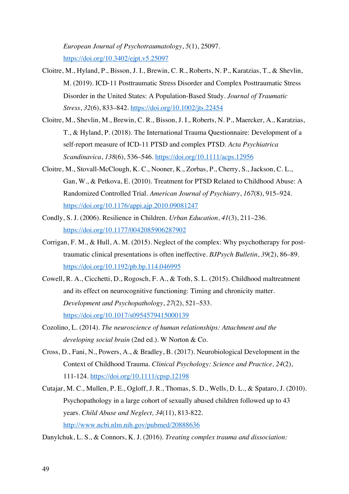*European Journal of Psychotraumatology*, *5*(1), 25097. https://doi.org/10.3402/ejpt.v5.25097

- Cloitre, M., Hyland, P., Bisson, J. I., Brewin, C. R., Roberts, N. P., Karatzias, T., & Shevlin, M. (2019). ICD-11 Posttraumatic Stress Disorder and Complex Posttraumatic Stress Disorder in the United States: A Population-Based Study. *Journal of Traumatic Stress*, *32*(6), 833–842. https://doi.org/10.1002/jts.22454
- Cloitre, M., Shevlin, M., Brewin, C. R., Bisson, J. I., Roberts, N. P., Maercker, A., Karatzias, T., & Hyland, P. (2018). The International Trauma Questionnaire: Development of a self-report measure of ICD-11 PTSD and complex PTSD. *Acta Psychiatrica Scandinavica*, *138*(6), 536–546. https://doi.org/10.1111/acps.12956
- Cloitre, M., Stovall-McClough, K. C., Nooner, K., Zorbas, P., Cherry, S., Jackson, C. L., Gan, W., & Petkova, E. (2010). Treatment for PTSD Related to Childhood Abuse: A Randomized Controlled Trial. *American Journal of Psychiatry*, *167*(8), 915–924. https://doi.org/10.1176/appi.ajp.2010.09081247
- Condly, S. J. (2006). Resilience in Children. *Urban Education*, *41*(3), 211–236. https://doi.org/10.1177/0042085906287902
- Corrigan, F. M., & Hull, A. M. (2015). Neglect of the complex: Why psychotherapy for posttraumatic clinical presentations is often ineffective. *BJPsych Bulletin*, *39*(2), 86–89. https://doi.org/10.1192/pb.bp.114.046995
- Cowell, R. A., Cicchetti, D., Rogosch, F. A., & Toth, S. L. (2015). Childhood maltreatment and its effect on neurocognitive functioning: Timing and chronicity matter. *Development and Psychopathology*, *27*(2), 521–533. https://doi.org/10.1017/s0954579415000139
- Cozolino, L. (2014). *The neuroscience of human relationships: Attachment and the developing social brain* (2nd ed.). W Norton & Co.
- Cross, D., Fani, N., Powers, A., & Bradley, B. (2017). Neurobiological Development in the Context of Childhood Trauma. *Clinical Psychology: Science and Practice, 24*(2), 111-124. https://doi.org/10.1111/cpsp.12198
- Cutajar, M. C., Mullen, P. E., Ogloff, J. R., Thomas, S. D., Wells, D. L., & Spataro, J. (2010). Psychopathology in a large cohort of sexually abused children followed up to 43 years. *Child Abuse and Neglect, 34*(11), 813-822. http://www.ncbi.nlm.nih.gov/pubmed/20888636

Danylchuk, L. S., & Connors, K. J. (2016). *Treating complex trauma and dissociation:*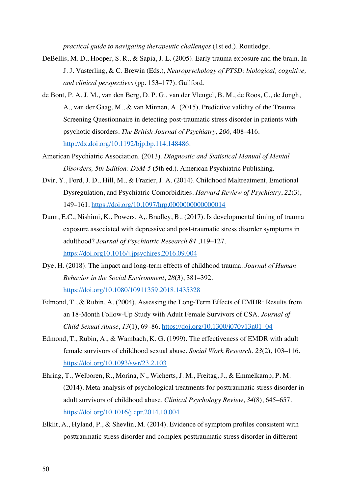*practical guide to navigating therapeutic challenges* (1st ed.). Routledge.

- DeBellis, M. D., Hooper, S. R., & Sapia, J. L. (2005). Early trauma exposure and the brain. In J. J. Vasterling, & C. Brewin (Eds.), *Neuropsychology of PTSD: biological, cognitive, and clinical perspectives* (pp. 153–177). Guilford.
- de Bont, P. A. J. M., van den Berg, D. P. G., van der Vleugel, B. M., de Roos, C., de Jongh, A., van der Gaag, M., & van Minnen, A. (2015). Predictive validity of the Trauma Screening Questionnaire in detecting post-traumatic stress disorder in patients with psychotic disorders. *The British Journal of Psychiatry, 206,* 408–416. http://dx.doi.org/10.1192/bjp.bp.114.148486.
- American Psychiatric Association. (2013). *Diagnostic and Statistical Manual of Mental Disorders, 5th Edition: DSM-5* (5th ed.). American Psychiatric Publishing.
- Dvir, Y., Ford, J. D., Hill, M., & Frazier, J. A. (2014). Childhood Maltreatment, Emotional Dysregulation, and Psychiatric Comorbidities. *Harvard Review of Psychiatry*, *22*(3), 149–161. https://doi.org/10.1097/hrp.0000000000000014
- Dunn, E.C., Nishimi, K., Powers, A,. Bradley, B.. (2017). Is developmental timing of trauma exposure associated with depressive and post-traumatic stress disorder symptoms in adulthood? *Journal of Psychiatric Research 84* ,119–127. https://doi.org10.1016/j.jpsychires.2016.09.004
- Dye, H. (2018). The impact and long-term effects of childhood trauma. *Journal of Human Behavior in the Social Environment*, *28*(3), 381–392. https://doi.org/10.1080/10911359.2018.1435328
- Edmond, T., & Rubin, A. (2004). Assessing the Long-Term Effects of EMDR: Results from an 18-Month Follow-Up Study with Adult Female Survivors of CSA. *Journal of Child Sexual Abuse*, *13*(1), 69–86. https://doi.org/10.1300/j070v13n01\_04
- Edmond, T., Rubin, A., & Wambach, K. G. (1999). The effectiveness of EMDR with adult female survivors of childhood sexual abuse. *Social Work Research*, *23*(2), 103–116. https://doi.org/10.1093/swr/23.2.103
- Ehring, T., Welboren, R., Morina, N., Wicherts, J. M., Freitag, J., & Emmelkamp, P. M. (2014). Meta-analysis of psychological treatments for posttraumatic stress disorder in adult survivors of childhood abuse. *Clinical Psychology Review*, *34*(8), 645–657. https://doi.org/10.1016/j.cpr.2014.10.004
- Elklit, A., Hyland, P., & Shevlin, M. (2014). Evidence of symptom profiles consistent with posttraumatic stress disorder and complex posttraumatic stress disorder in different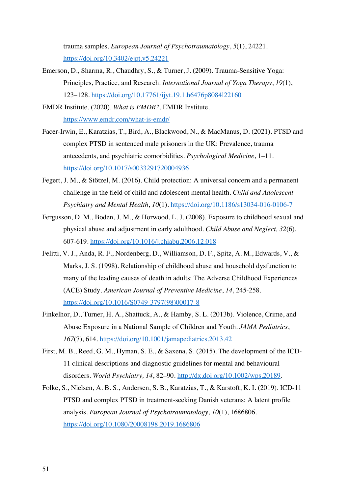trauma samples. *European Journal of Psychotraumatology*, *5*(1), 24221. https://doi.org/10.3402/ejpt.v5.24221

Emerson, D., Sharma, R., Chaudhry, S., & Turner, J. (2009). Trauma-Sensitive Yoga: Principles, Practice, and Research. *International Journal of Yoga Therapy*, *19*(1), 123–128. https://doi.org/10.17761/ijyt.19.1.h6476p8084l22160

EMDR Institute. (2020). *What is EMDR?.* EMDR Institute. https://www.emdr.com/what-is-emdr/

- Facer-Irwin, E., Karatzias, T., Bird, A., Blackwood, N., & MacManus, D. (2021). PTSD and complex PTSD in sentenced male prisoners in the UK: Prevalence, trauma antecedents, and psychiatric comorbidities. *Psychological Medicine*, 1–11. https://doi.org/10.1017/s0033291720004936
- Fegert, J. M., & Stötzel, M. (2016). Child protection: A universal concern and a permanent challenge in the field of child and adolescent mental health. *Child and Adolescent Psychiatry and Mental Health*, *10*(1). https://doi.org/10.1186/s13034-016-0106-7
- Fergusson, D. M., Boden, J. M., & Horwood, L. J. (2008). Exposure to childhood sexual and physical abuse and adjustment in early adulthood. *Child Abuse and Neglect, 32*(6), 607-619. https://doi.org/10.1016/j.chiabu.2006.12.018
- Felitti, V. J., Anda, R. F., Nordenberg, D., Williamson, D. F., Spitz, A. M., Edwards, V., & Marks, J. S. (1998). Relationship of childhood abuse and household dysfunction to many of the leading causes of death in adults: The Adverse Childhood Experiences (ACE) Study. *American Journal of Preventive Medicine*, *14*, 245-258. https://doi.org/10.1016/S0749-3797(98)00017-8
- Finkelhor, D., Turner, H. A., Shattuck, A., & Hamby, S. L. (2013b). Violence, Crime, and Abuse Exposure in a National Sample of Children and Youth. *JAMA Pediatrics*, *167*(7), 614. https://doi.org/10.1001/jamapediatrics.2013.42
- First, M. B., Reed, G. M., Hyman, S. E., & Saxena, S. (2015). The development of the ICD-11 clinical descriptions and diagnostic guidelines for mental and behavioural disorders. *World Psychiatry, 14*, 82–90. http://dx.doi.org/10.1002/wps.20189.
- Folke, S., Nielsen, A. B. S., Andersen, S. B., Karatzias, T., & Karstoft, K. I. (2019). ICD-11 PTSD and complex PTSD in treatment-seeking Danish veterans: A latent profile analysis. *European Journal of Psychotraumatology*, *10*(1), 1686806. https://doi.org/10.1080/20008198.2019.1686806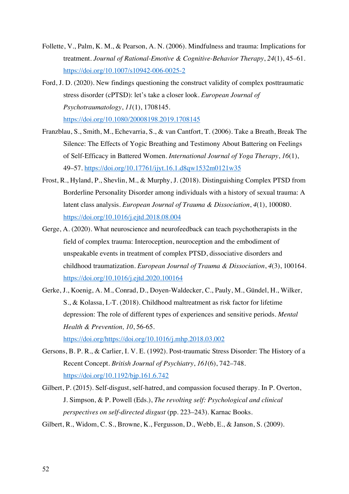- Follette, V., Palm, K. M., & Pearson, A. N. (2006). Mindfulness and trauma: Implications for treatment. *Journal of Rational-Emotive & Cognitive-Behavior Therapy*, *24*(1), 45–61. https://doi.org/10.1007/s10942-006-0025-2
- Ford, J. D. (2020). New findings questioning the construct validity of complex posttraumatic stress disorder (cPTSD): let's take a closer look. *European Journal of Psychotraumatology*, *11*(1), 1708145. https://doi.org/10.1080/20008198.2019.1708145
- Franzblau, S., Smith, M., Echevarria, S., & van Cantfort, T. (2006). Take a Breath, Break The Silence: The Effects of Yogic Breathing and Testimony About Battering on Feelings of Self-Efficacy in Battered Women. *International Journal of Yoga Therapy*, *16*(1), 49–57. https://doi.org/10.17761/ijyt.16.1.d8qw1532m0121w35
- Frost, R., Hyland, P., Shevlin, M., & Murphy, J. (2018). Distinguishing Complex PTSD from Borderline Personality Disorder among individuals with a history of sexual trauma: A latent class analysis. *European Journal of Trauma & Dissociation*, *4*(1), 100080. https://doi.org/10.1016/j.ejtd.2018.08.004
- Gerge, A. (2020). What neuroscience and neurofeedback can teach psychotherapists in the field of complex trauma: Interoception, neuroception and the embodiment of unspeakable events in treatment of complex PTSD, dissociative disorders and childhood traumatization. *European Journal of Trauma & Dissociation*, *4*(3), 100164. https://doi.org/10.1016/j.ejtd.2020.100164
- Gerke, J., Koenig, A. M., Conrad, D., Doyen-Waldecker, C., Pauly, M., Gündel, H., Wilker, S., & Kolassa, I.-T. (2018). Childhood maltreatment as risk factor for lifetime depression: The role of different types of experiences and sensitive periods. *Mental Health & Prevention, 10*, 56-65. https://doi.org/https://doi.org/10.1016/j.mhp.2018.03.002

Gersons, B. P. R., & Carlier, I. V. E. (1992). Post-traumatic Stress Disorder: The History of a Recent Concept. *British Journal of Psychiatry*, *161*(6), 742–748. https://doi.org/10.1192/bjp.161.6.742

Gilbert, P. (2015). Self-disgust, self-hatred, and compassion focused therapy. In P. Overton, J. Simpson, & P. Powell (Eds.), *The revolting self: Psychological and clinical perspectives on self-directed disgust* (pp. 223–243). Karnac Books.

Gilbert, R., Widom, C. S., Browne, K., Fergusson, D., Webb, E., & Janson, S. (2009).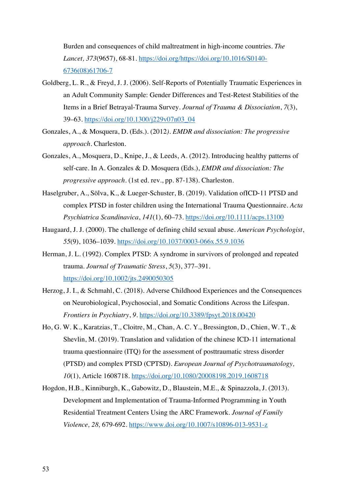Burden and consequences of child maltreatment in high-income countries. *The Lancet, 373*(9657), 68-81. https://doi.org/https://doi.org/10.1016/S0140- 6736(08)61706-7

- Goldberg, L. R., & Freyd, J. J. (2006). Self-Reports of Potentially Traumatic Experiences in an Adult Community Sample: Gender Differences and Test-Retest Stabilities of the Items in a Brief Betrayal-Trauma Survey. *Journal of Trauma & Dissociation*, *7*(3), 39–63. https://doi.org/10.1300/j229v07n03\_04
- Gonzales, A., & Mosquera, D. (Eds.). (2012*). EMDR and dissociation: The progressive approach.* Charleston.
- Gonzales, A., Mosquera, D., Knipe, J., & Leeds, A. (2012). Introducing healthy patterns of self-care. In A. Gonzales & D. Mosquera (Eds.), *EMDR and dissociation: The progressive approach.* (1st ed. rev., pp. 87-138). Charleston.
- Haselgruber, A., Sölva, K., & Lueger-Schuster, B. (2019). Validation ofICD-11 PTSD and complex PTSD in foster children using the International Trauma Questionnaire. *Acta Psychiatrica Scandinavica*, *141*(1), 60–73. https://doi.org/10.1111/acps.13100
- Haugaard, J. J. (2000). The challenge of defining child sexual abuse. *American Psychologist*, *55*(9), 1036–1039. https://doi.org/10.1037/0003-066x.55.9.1036
- Herman, J. L. (1992). Complex PTSD: A syndrome in survivors of prolonged and repeated trauma. *Journal of Traumatic Stress*, *5*(3), 377–391. https://doi.org/10.1002/jts.2490050305
- Herzog, J. I., & Schmahl, C. (2018). Adverse Childhood Experiences and the Consequences on Neurobiological, Psychosocial, and Somatic Conditions Across the Lifespan. *Frontiers in Psychiatry*, *9*. https://doi.org/10.3389/fpsyt.2018.00420
- Ho, G. W. K., Karatzias, T., Cloitre, M., Chan, A. C. Y., Bressington, D., Chien, W. T., & Shevlin, M. (2019). Translation and validation of the chinese ICD-11 international trauma questionnaire (ITQ) for the assessment of posttraumatic stress disorder (PTSD) and complex PTSD (CPTSD). *European Journal of Psychotraumatology, 10*(1), Article 1608718. https://doi.org/10.1080/20008198.2019.1608718
- Hogdon, H.B., Kinniburgh, K., Gabowitz, D., Blaustein, M.E., & Spinazzola, J. (2013). Development and Implementation of Trauma-Informed Programming in Youth Residential Treatment Centers Using the ARC Framework. *Journal of Family Violence, 28,* 679-692. https://www.doi.org/10.1007/s10896-013-9531-z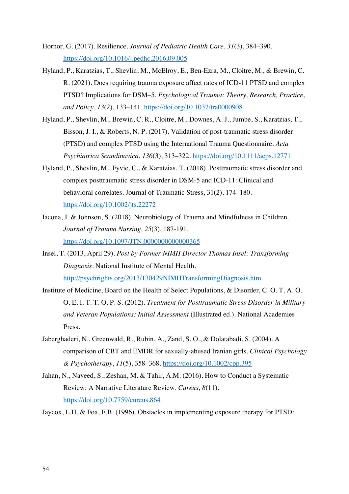- Hornor, G. (2017). Resilience. *Journal of Pediatric Health Care*, *31*(3), 384–390. https://doi.org/10.1016/j.pedhc.2016.09.005
- Hyland, P., Karatzias, T., Shevlin, M., McElroy, E., Ben-Ezra, M., Cloitre, M., & Brewin, C. R. (2021). Does requiring trauma exposure affect rates of ICD-11 PTSD and complex PTSD? Implications for DSM–5. *Psychological Trauma: Theory, Research, Practice, and Policy*, *13*(2), 133–141. https://doi.org/10.1037/tra0000908
- Hyland, P., Shevlin, M., Brewin, C. R., Cloitre, M., Downes, A. J., Jumbe, S., Karatzias, T., Bisson, J. I., & Roberts, N. P. (2017). Validation of post-traumatic stress disorder (PTSD) and complex PTSD using the International Trauma Questionnaire. *Acta Psychiatrica Scandinavica*, *136*(3), 313–322. https://doi.org/10.1111/acps.12771
- Hyland, P., Shevlin, M., Fyvie, C., & Karatzias, T. (2018). Posttraumatic stress disorder and complex posttraumatic stress disorder in DSM-5 and ICD-11: Clinical and behavioral correlates. Journal of Traumatic Stress, 31(2), 174–180. https://doi.org/10.1002/jts.22272
- Iacona, J. & Johnson, S. (2018). Neurobiology of Trauma and Mindfulness in Children. *Journal of Trauma Nursing, 25*(3), 187-191. https://doi.org/10.1097/JTN.0000000000000365
- Insel, T. (2013, April 29). *Post by Former NIMH Director Thomas Insel: Transforming Diagnosis.* National Institute of Mental Health. http://psychrights.org/2013/130429NIMHTransformingDiagnosis.htm
- Institute of Medicine, Board on the Health of Select Populations, & Disorder, C. O. T. A. O. O. E. I. T. T. O. P. S. (2012). *Treatment for Posttraumatic Stress Disorder in Military and Veteran Populations: Initial Assessment* (Illustrated ed.). National Academies Press.
- Jaberghaderi, N., Greenwald, R., Rubin, A., Zand, S. O., & Dolatabadi, S. (2004). A comparison of CBT and EMDR for sexually-abused Iranian girls. *Clinical Psychology & Psychotherapy*, *11*(5), 358–368. https://doi.org/10.1002/cpp.395
- Jahan, N., Naveed, S., Zeshan, M. & Tahir, A.M. (2016). How to Conduct a Systematic Review: A Narrative Literature Review. *Cureus, 8*(11). https://doi.org/10.7759/cureus.864
- Jaycox, L.H. & Foa, E.B. (1996). Obstacles in implementing exposure therapy for PTSD: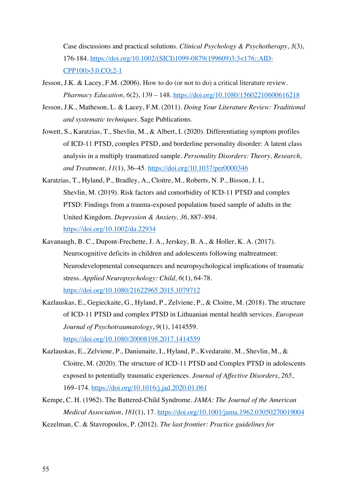Case discussions and practical solutions. *Clinical Psychology & Psychotherapy*, *3*(3), 176-184. https://doi.org/10.1002/(SICI)1099-0879(199609)3:3<176::AID-CPP100>3.0.CO;2-1

- Jesson, J.K. & Lacey, F.M. (2006). How to do (or not to do) a critical literature review. *Pharmacy Education, 6*(2), 139 – 148. https://doi.org/10.1080/15602210600616218
- Jesson, J.K., Matheson, L. & Lacey, F.M. (2011). *Doing Your Literature Review: Traditional and systematic techniques.* Sage Publications.
- Jowett, S., Karatzias, T., Shevlin, M., & Albert, I. (2020). Differentiating symptom profiles of ICD-11 PTSD, complex PTSD, and borderline personality disorder: A latent class analysis in a multiply traumatized sample. *Personality Disorders: Theory, Research, and Treatment*, *11*(1), 36–45. https://doi.org/10.1037/per0000346
- Karatzias, T., Hyland, P., Bradley, A., Cloitre, M., Roberts, N. P., Bisson, J. I., Shevlin, M. (2019). Risk factors and comorbidity of ICD-11 PTSD and complex PTSD: Findings from a trauma-exposed population based sample of adults in the United Kingdom. *Depression & Anxiety, 36*, 887–894. https://doi.org/10.1002/da.22934
- Kavanaugh, B. C., Dupont-Frechette, J. A., Jerskey, B. A., & Holler, K. A. (2017). Neurocognitive deficits in children and adolescents following maltreatment: Neurodevelopmental consequences and neuropsychological implications of traumatic stress. *Applied Neuropsychology: Child, 6*(1), 64-78. https://doi.org/10.1080/21622965.2015.1079712
- Kazlauskas, E., Gegieckaite, G., Hyland, P., Zelviene, P., & Cloitre, M. (2018). The structure of ICD-11 PTSD and complex PTSD in Lithuanian mental health services. *European Journal of Psychotraumatology*, *9*(1), 1414559. https://doi.org/10.1080/20008198.2017.1414559
- Kazlauskas, E., Zelviene, P., Daniunaite, I., Hyland, P., Kvedaraite, M., Shevlin, M., & Cloitre, M. (2020). The structure of ICD-11 PTSD and Complex PTSD in adolescents exposed to potentially traumatic experiences. *Journal of Affective Disorders*, *265*, 169–174. https://doi.org/10.1016/j.jad.2020.01.061
- Kempe, C. H. (1962). The Battered-Child Syndrome. *JAMA: The Journal of the American Medical Association*, *181*(1), 17. https://doi.org/10.1001/jama.1962.03050270019004
- Kezelman, C. & Stavropoulos, P. (2012). *The last frontier: Practice guidelines for*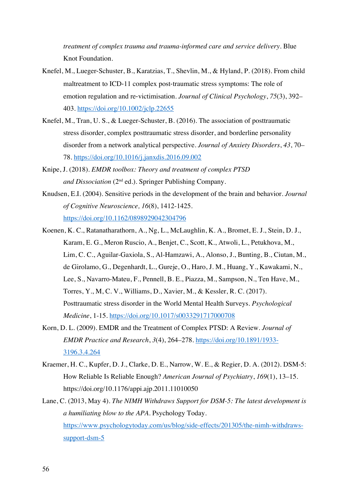*treatment of complex trauma and trauma-informed care and service delivery.* Blue Knot Foundation.

- Knefel, M., Lueger-Schuster, B., Karatzias, T., Shevlin, M., & Hyland, P. (2018). From child maltreatment to ICD-11 complex post-traumatic stress symptoms: The role of emotion regulation and re-victimisation. *Journal of Clinical Psychology*, *75*(3), 392– 403. https://doi.org/10.1002/jclp.22655
- Knefel, M., Tran, U. S., & Lueger-Schuster, B. (2016). The association of posttraumatic stress disorder, complex posttraumatic stress disorder, and borderline personality disorder from a network analytical perspective. *Journal of Anxiety Disorders*, *43*, 70– 78. https://doi.org/10.1016/j.janxdis.2016.09.002
- Knipe, J. (2018). *EMDR toolbox: Theory and treatment of complex PTSD and Dissociation* (2nd ed.). Springer Publishing Company.
- Knudsen, E.I. (2004). Sensitive periods in the development of the brain and behavior. *Journal of Cognitive Neuroscience, 16*(8), 1412-1425. https://doi.org/10.1162/0898929042304796
- Koenen, K. C., Ratanatharathorn, A., Ng, L., McLaughlin, K. A., Bromet, E. J., Stein, D. J., Karam, E. G., Meron Ruscio, A., Benjet, C., Scott, K., Atwoli, L., Petukhova, M., Lim, C. C., Aguilar-Gaxiola, S., Al-Hamzawi, A., Alonso, J., Bunting, B., Ciutan, M., de Girolamo, G., Degenhardt, L., Gureje, O., Haro, J. M., Huang, Y., Kawakami, N., Lee, S., Navarro-Mateu, F., Pennell, B. E., Piazza, M., Sampson, N., Ten Have, M., Torres, Y., M, C. V., Williams, D., Xavier, M., & Kessler, R. C. (2017). Posttraumatic stress disorder in the World Mental Health Surveys. *Psychological Medicine*, 1-15. https://doi.org/10.1017/s0033291717000708
- Korn, D. L. (2009). EMDR and the Treatment of Complex PTSD: A Review. *Journal of EMDR Practice and Research*, *3*(4), 264–278. https://doi.org/10.1891/1933- 3196.3.4.264
- Kraemer, H. C., Kupfer, D. J., Clarke, D. E., Narrow, W. E., & Regier, D. A. (2012). DSM-5: How Reliable Is Reliable Enough? *American Journal of Psychiatry*, *169*(1), 13–15. https://doi.org/10.1176/appi.ajp.2011.11010050
- Lane, C. (2013, May 4). *The NIMH Withdraws Support for DSM-5: The latest development is a humiliating blow to the APA.* Psychology Today. https://www.psychologytoday.com/us/blog/side-effects/201305/the-nimh-withdrawssupport-dsm-5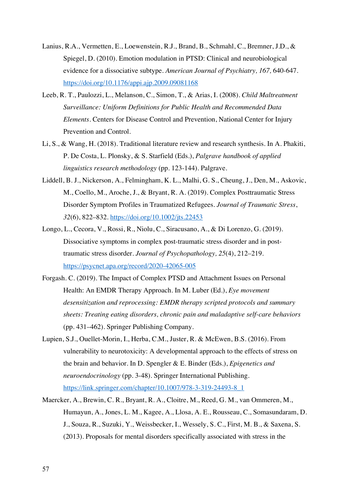- Lanius, R.A., Vermetten, E., Loewenstein, R.J., Brand, B., Schmahl, C., Bremner, J.D., & Spiegel, D. (2010). Emotion modulation in PTSD: Clinical and neurobiological evidence for a dissociative subtype. *American Journal of Psychiatry, 167,* 640-647. https://doi.org/10.1176/appi.ajp.2009.09081168
- Leeb, R. T., Paulozzi, L., Melanson, C., Simon, T., & Arias, I. (2008). *Child Maltreatment Surveillance: Uniform Definitions for Public Health and Recommended Data Elements*. Centers for Disease Control and Prevention, National Center for Injury Prevention and Control.
- Li, S., & Wang, H. (2018). Traditional literature review and research synthesis. In A. Phakiti, P. De Costa, L. Plonsky, & S. Starfield (Eds.), *Palgrave handbook of applied linguistics research methodology* (pp. 123-144). Palgrave.
- Liddell, B. J., Nickerson, A., Felmingham, K. L., Malhi, G. S., Cheung, J., Den, M., Askovic, M., Coello, M., Aroche, J., & Bryant, R. A. (2019). Complex Posttraumatic Stress Disorder Symptom Profiles in Traumatized Refugees. *Journal of Traumatic Stress*, *32*(6), 822–832. https://doi.org/10.1002/jts.22453
- Longo, L., Cecora, V., Rossi, R., Niolu, C., Siracusano, A., & Di Lorenzo, G. (2019). Dissociative symptoms in complex post-traumatic stress disorder and in posttraumatic stress disorder. *Journal of Psychopathology, 25*(4), 212–219. https://psycnet.apa.org/record/2020-42065-005
- Forgash. C. (2019). The Impact of Complex PTSD and Attachment Issues on Personal Health: An EMDR Therapy Approach. In M. Luber (Ed.), *Eye movement desensitization and reprocessing: EMDR therapy scripted protocols and summary sheets: Treating eating disorders, chronic pain and maladaptive self-care behaviors* (pp. 431–462)*.* Springer Publishing Company.
- Lupien, S.J., Ouellet-Morin, I., Herba, C.M., Juster, R. & McEwen, B.S. (2016). From vulnerability to neurotoxicity: A developmental approach to the effects of stress on the brain and behavior. In D. Spengler & E. Binder (Eds.), *Epigenetics and neuroendocrinology* (pp. 3-48). Springer International Publishing. https://link.springer.com/chapter/10.1007/978-3-319-24493-8\_1
- Maercker, A., Brewin, C. R., Bryant, R. A., Cloitre, M., Reed, G. M., van Ommeren, M., Humayun, A., Jones, L. M., Kagee, A., Llosa, A. E., Rousseau, C., Somasundaram, D. J., Souza, R., Suzuki, Y., Weissbecker, I., Wessely, S. C., First, M. B., & Saxena, S. (2013). Proposals for mental disorders specifically associated with stress in the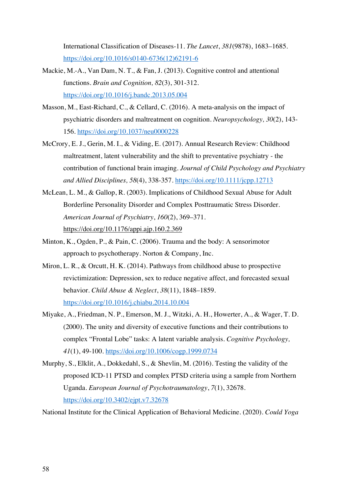International Classification of Diseases-11. *The Lancet*, *381*(9878), 1683–1685. https://doi.org/10.1016/s0140-6736(12)62191-6

- Mackie, M.-A., Van Dam, N. T., & Fan, J. (2013). Cognitive control and attentional functions. *Brain and Cognition, 82*(3), 301-312. https://doi.org/10.1016/j.bandc.2013.05.004
- Masson, M., East-Richard, C., & Cellard, C. (2016). A meta-analysis on the impact of psychiatric disorders and maltreatment on cognition. *Neuropsychology, 30*(2), 143- 156. https://doi.org/10.1037/neu0000228
- McCrory, E. J., Gerin, M. I., & Viding, E. (2017). Annual Research Review: Childhood maltreatment, latent vulnerability and the shift to preventative psychiatry - the contribution of functional brain imaging. *Journal of Child Psychology and Psychiatry and Allied Disciplines, 58*(4), 338-357. https://doi.org/10.1111/jcpp.12713
- McLean, L. M., & Gallop, R. (2003). Implications of Childhood Sexual Abuse for Adult Borderline Personality Disorder and Complex Posttraumatic Stress Disorder. *American Journal of Psychiatry*, *160*(2), 369–371. https://doi.org/10.1176/appi.ajp.160.2.369
- Minton, K., Ogden, P., & Pain, C. (2006). Trauma and the body: A sensorimotor approach to psychotherapy. Norton & Company, Inc.
- Miron, L. R., & Orcutt, H. K. (2014). Pathways from childhood abuse to prospective revictimization: Depression, sex to reduce negative affect, and forecasted sexual behavior. *Child Abuse & Neglect*, *38*(11), 1848–1859. https://doi.org/10.1016/j.chiabu.2014.10.004
- Miyake, A., Friedman, N. P., Emerson, M. J., Witzki, A. H., Howerter, A., & Wager, T. D. (2000). The unity and diversity of executive functions and their contributions to complex "Frontal Lobe" tasks: A latent variable analysis. *Cognitive Psychology, 41*(1), 49-100. https://doi.org/10.1006/cogp.1999.0734
- Murphy, S., Elklit, A., Dokkedahl, S., & Shevlin, M. (2016). Testing the validity of the proposed ICD-11 PTSD and complex PTSD criteria using a sample from Northern Uganda. *European Journal of Psychotraumatology*, *7*(1), 32678. https://doi.org/10.3402/ejpt.v7.32678

National Institute for the Clinical Application of Behavioral Medicine. (2020). *Could Yoga*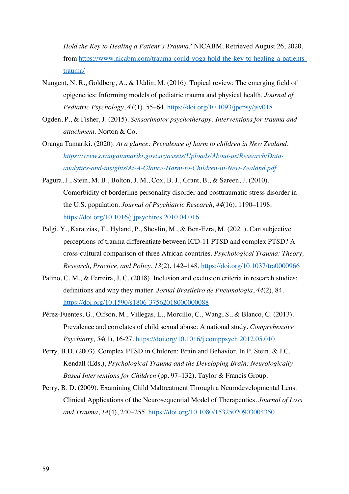*Hold the Key to Healing a Patient's Trauma?* NICABM. Retrieved August 26, 2020, from https://www.nicabm.com/trauma-could-yoga-hold-the-key-to-healing-a-patientstrauma/

- Nungent, N. R., Goldberg, A., & Uddin, M. (2016). Topical review: The emerging field of epigenetics: Informing models of pediatric trauma and physical health. *Journal of Pediatric Psychology*, *41*(1), 55–64. https://doi.org/10.1093/jpepsy/jsv018
- Ogden, P., & Fisher, J. (2015). *Sensorimotor psychotherapy: Interventions for trauma and attachment*. Norton & Co.
- Oranga Tamariki. (2020). *At a glance: Prevalence of harm to children in New Zealand. https://www.orangatamariki.govt.nz/assets/Uploads/About-us/Research/Dataanalytics-and-insights/At-A-Glance-Harm-to-Children-in-New-Zealand.pdf*
- Pagura, J., Stein, M. B., Bolton, J. M., Cox, B. J., Grant, B., & Sareen, J. (2010). Comorbidity of borderline personality disorder and posttraumatic stress disorder in the U.S. population. *Journal of Psychiatric Research*, *44*(16), 1190–1198. https://doi.org/10.1016/j.jpsychires.2010.04.016
- Palgi, Y., Karatzias, T., Hyland, P., Shevlin, M., & Ben-Ezra, M. (2021). Can subjective perceptions of trauma differentiate between ICD-11 PTSD and complex PTSD? A cross-cultural comparison of three African countries. *Psychological Trauma: Theory, Research, Practice, and Policy*, *13*(2), 142–148. https://doi.org/10.1037/tra0000966
- Patino, C. M., & Ferreira, J. C. (2018). Inclusion and exclusion criteria in research studies: definitions and why they matter. *Jornal Brasileiro de Pneumologia*, *44*(2), 84. https://doi.org/10.1590/s1806-37562018000000088
- Pérez-Fuentes, G., Olfson, M., Villegas, L., Morcillo, C., Wang, S., & Blanco, C. (2013). Prevalence and correlates of child sexual abuse: A national study. *Comprehensive Psychiatry, 54*(1), 16-27. https://doi.org/10.1016/j.comppsych.2012.05.010
- Perry, B.D. (2003). Complex PTSD in Children: Brain and Behavior. In P. Stein, & J.C. Kendall (Eds.), *Psychological Trauma and the Developing Brain: Neurologically Based Interventions for Children* (pp. 97–132). Taylor & Francis Group.
- Perry, B. D. (2009). Examining Child Maltreatment Through a Neurodevelopmental Lens: Clinical Applications of the Neurosequential Model of Therapeutics. *Journal of Loss and Trauma*, *14*(4), 240–255. https://doi.org/10.1080/15325020903004350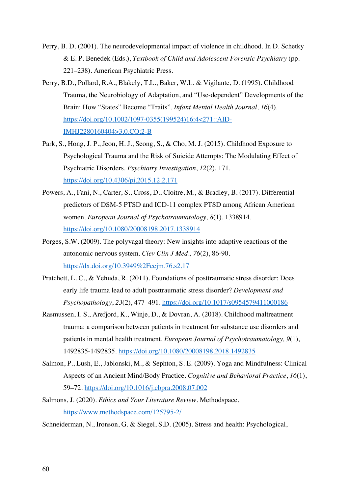- Perry, B. D. (2001). The neurodevelopmental impact of violence in childhood. In D. Schetky & E. P. Benedek (Eds.), *Textbook of Child and Adolescent Forensic Psychiatry* (pp. 221–238). American Psychiatric Press.
- Perry, B.D., Pollard, R.A., Blakely, T.L., Baker, W.L. & Vigilante, D. (1995). Childhood Trauma, the Neurobiology of Adaptation, and "Use-dependent" Developments of the Brain: How "States" Become "Traits". *Infant Mental Health Journal, 16*(4). https://doi.org/10.1002/1097-0355(199524)16:4<271::AID-IMHJ2280160404>3.0.CO;2-B
- Park, S., Hong, J. P., Jeon, H. J., Seong, S., & Cho, M. J. (2015). Childhood Exposure to Psychological Trauma and the Risk of Suicide Attempts: The Modulating Effect of Psychiatric Disorders. *Psychiatry Investigation*, *12*(2), 171. https://doi.org/10.4306/pi.2015.12.2.171
- Powers, A., Fani, N., Carter, S., Cross, D., Cloitre, M., & Bradley, B. (2017). Differential predictors of DSM-5 PTSD and ICD-11 complex PTSD among African American women. *European Journal of Psychotraumatology*, *8*(1), 1338914. https://doi.org/10.1080/20008198.2017.1338914
- Porges, S.W. (2009). The polyvagal theory: New insights into adaptive reactions of the autonomic nervous system. *Clev Clin J Med., 76*(2), 86-90. https://dx.doi.org/10.3949%2Fccjm.76.s2.17
- Pratchett, L. C., & Yehuda, R. (2011). Foundations of posttraumatic stress disorder: Does early life trauma lead to adult posttraumatic stress disorder? *Development and Psychopathology*, *23*(2), 477–491. https://doi.org/10.1017/s0954579411000186
- Rasmussen, I. S., Arefjord, K., Winje, D., & Dovran, A. (2018). Childhood maltreatment trauma: a comparison between patients in treatment for substance use disorders and patients in mental health treatment. *European Journal of Psychotraumatology, 9*(1), 1492835-1492835. https://doi.org/10.1080/20008198.2018.1492835
- Salmon, P., Lush, E., Jablonski, M., & Sephton, S. E. (2009). Yoga and Mindfulness: Clinical Aspects of an Ancient Mind/Body Practice. *Cognitive and Behavioral Practice*, *16*(1), 59–72. https://doi.org/10.1016/j.cbpra.2008.07.002
- Salmons, J. (2020). *Ethics and Your Literature Review.* Methodspace. https://www.methodspace.com/125795-2/

Schneiderman, N., Ironson, G. & Siegel, S.D. (2005). Stress and health: Psychological,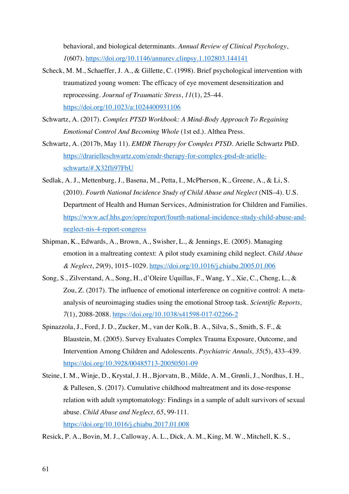behavioral, and biological determinants. *Annual Review of Clinical Psychology*, *1*(607). https://doi.org/10.1146/annurev.clinpsy.1.102803.144141

- Scheck, M. M., Schaeffer, J. A., & Gillette, C. (1998). Brief psychological intervention with traumatized young women: The efficacy of eye movement desensitization and reprocessing. *Journal of Traumatic Stress*, *11*(1), 25–44. https://doi.org/10.1023/a:1024400931106
- Schwartz, A. (2017). *Complex PTSD Workbook: A Mind-Body Approach To Regaining Emotional Control And Becoming Whole* (1st ed.). Althea Press.
- Schwartz, A. (2017b, May 11). *EMDR Therapy for Complex PTSD*. Arielle Schwartz PhD. https://drarielleschwartz.com/emdr-therapy-for-complex-ptsd-dr-arielleschwartz/#.X32fli97FbU
- Sedlak, A. J., Mettenburg, J., Basena, M., Petta, I., McPherson, K., Greene, A., & Li, S. (2010). *Fourth National Incidence Study of Child Abuse and Neglect* (NIS–4). U.S. Department of Health and Human Services, Administration for Children and Families. https://www.acf.hhs.gov/opre/report/fourth-national-incidence-study-child-abuse-andneglect-nis-4-report-congress
- Shipman, K., Edwards, A., Brown, A., Swisher, L., & Jennings, E. (2005). Managing emotion in a maltreating context: A pilot study examining child neglect. *Child Abuse & Neglect*, *29*(9), 1015–1029. https://doi.org/10.1016/j.chiabu.2005.01.006
- Song, S., Zilverstand, A., Song, H., d'Oleire Uquillas, F., Wang, Y., Xie, C., Cheng, L., & Zou, Z. (2017). The influence of emotional interference on cognitive control: A metaanalysis of neuroimaging studies using the emotional Stroop task. *Scientific Reports, 7*(1), 2088-2088. https://doi.org/10.1038/s41598-017-02266-2
- Spinazzola, J., Ford, J. D., Zucker, M., van der Kolk, B. A., Silva, S., Smith, S. F., & Blaustein, M. (2005). Survey Evaluates Complex Trauma Exposure, Outcome, and Intervention Among Children and Adolescents. *Psychiatric Annals, 35*(5), 433–439. https://doi.org/10.3928/00485713-20050501-09
- Steine, I. M., Winje, D., Krystal, J. H., Bjorvatn, B., Milde, A. M., Grønli, J., Nordhus, I. H., & Pallesen, S. (2017). Cumulative childhood maltreatment and its dose-response relation with adult symptomatology: Findings in a sample of adult survivors of sexual abuse. *Child Abuse and Neglect, 65*, 99-111. https://doi.org/10.1016/j.chiabu.2017.01.008
- Resick, P. A., Bovin, M. J., Calloway, A. L., Dick, A. M., King, M. W., Mitchell, K. S.,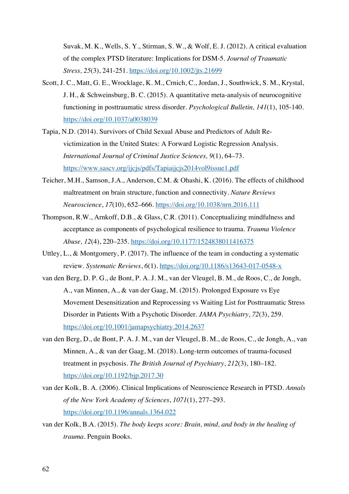Suvak, M. K., Wells, S. Y., Stirman, S. W., & Wolf, E. J. (2012). A critical evaluation of the complex PTSD literature: Implications for DSM-5. *Journal of Traumatic Stress, 25*(3), 241-251. https://doi.org/10.1002/jts.21699

- Scott, J. C., Matt, G. E., Wrocklage, K. M., Crnich, C., Jordan, J., Southwick, S. M., Krystal, J. H., & Schweinsburg, B. C. (2015). A quantitative meta-analysis of neurocognitive functioning in posttraumatic stress disorder. *Psychological Bulletin, 141*(1), 105-140. https://doi.org/10.1037/a0038039
- Tapia, N.D. (2014). Survivors of Child Sexual Abuse and Predictors of Adult Revictimization in the United States: A Forward Logistic Regression Analysis. *International Journal of Criminal Justice Sciences, 9*(1), 64–73. https://www.sascv.org/ijcjs/pdfs/Tapiaijcjs2014vol9issue1.pdf
- Teicher, M.H., Samson, J.A., Anderson, C.M. & Ohashi, K. (2016). The effects of childhood maltreatment on brain structure, function and connectivity. *Nature Reviews Neuroscience*, *17*(10), 652–666. https://doi.org/10.1038/nrn.2016.111
- Thompson, R.W., Arnkoff, D.B., & Glass, C.R. (2011). Conceptualizing mindfulness and acceptance as components of psychological resilience to trauma. *Trauma Violence Abuse, 12*(4), 220–235. https://doi.org/10.1177/1524838011416375
- Uttley, L., & Montgomery, P. (2017). The influence of the team in conducting a systematic review. *Systematic Reviews*, *6*(1). https://doi.org/10.1186/s13643-017-0548-x
- van den Berg, D. P. G., de Bont, P. A. J. M., van der Vleugel, B. M., de Roos, C., de Jongh, A., van Minnen, A., & van der Gaag, M. (2015). Prolonged Exposure vs Eye Movement Desensitization and Reprocessing vs Waiting List for Posttraumatic Stress Disorder in Patients With a Psychotic Disorder. *JAMA Psychiatry*, *72*(3), 259. https://doi.org/10.1001/jamapsychiatry.2014.2637
- van den Berg, D., de Bont, P. A. J. M., van der Vleugel, B. M., de Roos, C., de Jongh, A., van Minnen, A., & van der Gaag, M. (2018). Long-term outcomes of trauma-focused treatment in psychosis. *The British Journal of Psychiatry*, *212*(3), 180–182. https://doi.org/10.1192/bjp.2017.30
- van der Kolk, B. A. (2006). Clinical Implications of Neuroscience Research in PTSD. *Annals of the New York Academy of Sciences*, *1071*(1), 277–293. https://doi.org/10.1196/annals.1364.022
- van der Kolk, B.A. (2015). *The body keeps score: Brain, mind, and body in the healing of trauma.* Penguin Books.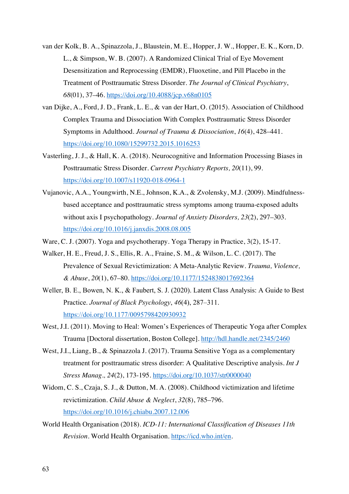- van der Kolk, B. A., Spinazzola, J., Blaustein, M. E., Hopper, J. W., Hopper, E. K., Korn, D. L., & Simpson, W. B. (2007). A Randomized Clinical Trial of Eye Movement Desensitization and Reprocessing (EMDR), Fluoxetine, and Pill Placebo in the Treatment of Posttraumatic Stress Disorder. *The Journal of Clinical Psychiatry*, *68*(01), 37–46. https://doi.org/10.4088/jcp.v68n0105
- van Dijke, A., Ford, J. D., Frank, L. E., & van der Hart, O. (2015). Association of Childhood Complex Trauma and Dissociation With Complex Posttraumatic Stress Disorder Symptoms in Adulthood. *Journal of Trauma & Dissociation*, *16*(4), 428–441. https://doi.org/10.1080/15299732.2015.1016253
- Vasterling, J. J., & Hall, K. A. (2018). Neurocognitive and Information Processing Biases in Posttraumatic Stress Disorder. *Current Psychiatry Reports, 20*(11), 99. https://doi.org/10.1007/s11920-018-0964-1
- Vujanovic, A.A., Youngwirth, N.E., Johnson, K.A., & Zvolensky, M.J. (2009). Mindfulnessbased acceptance and posttraumatic stress symptoms among trauma-exposed adults without axis I psychopathology. *Journal of Anxiety Disorders, 23*(2), 297–303. https://doi.org/10.1016/j.janxdis.2008.08.005
- Ware, C. J. (2007). Yoga and psychotherapy. Yoga Therapy in Practice, 3(2), 15-17.
- Walker, H. E., Freud, J. S., Ellis, R. A., Fraine, S. M., & Wilson, L. C. (2017). The Prevalence of Sexual Revictimization: A Meta-Analytic Review. *Trauma, Violence, & Abuse*, *20*(1), 67–80. https://doi.org/10.1177/1524838017692364
- Weller, B. E., Bowen, N. K., & Faubert, S. J. (2020). Latent Class Analysis: A Guide to Best Practice. *Journal of Black Psychology*, *46*(4), 287–311. https://doi.org/10.1177/0095798420930932
- West, J.I. (2011). Moving to Heal: Women's Experiences of Therapeutic Yoga after Complex Trauma [Doctoral dissertation, Boston College]. http://hdl.handle.net/2345/2460
- West, J.I., Liang, B., & Spinazzola J. (2017). Trauma Sensitive Yoga as a complementary treatment for posttraumatic stress disorder: A Qualitative Descriptive analysis. *Int J Stress Manag., 24*(2), 173-195. https://doi.org/10.1037/str0000040
- Widom, C. S., Czaja, S. J., & Dutton, M. A. (2008). Childhood victimization and lifetime revictimization. *Child Abuse & Neglect*, *32*(8), 785–796. https://doi.org/10.1016/j.chiabu.2007.12.006
- World Health Organisation (2018). *ICD-11: International Classification of Diseases 11th Revision.* World Health Organisation. https://icd.who.int/en.